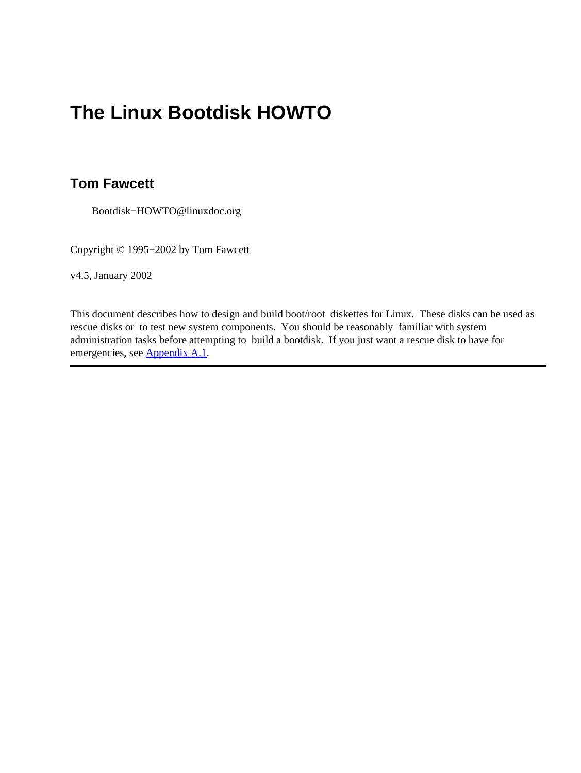### **The Linux Bootdisk HOWTO**

#### **Tom Fawcett**

Bootdisk−HOWTO@linuxdoc.org

Copyright © 1995−2002 by Tom Fawcett

v4.5, January 2002

This document describes how to design and build boot/root diskettes for Linux. These disks can be used as rescue disks or to test new system components. You should be reasonably familiar with system administration tasks before attempting to build a bootdisk. If you just want a rescue disk to have for emergencies, see [Appendix A.1.](#page-39-0)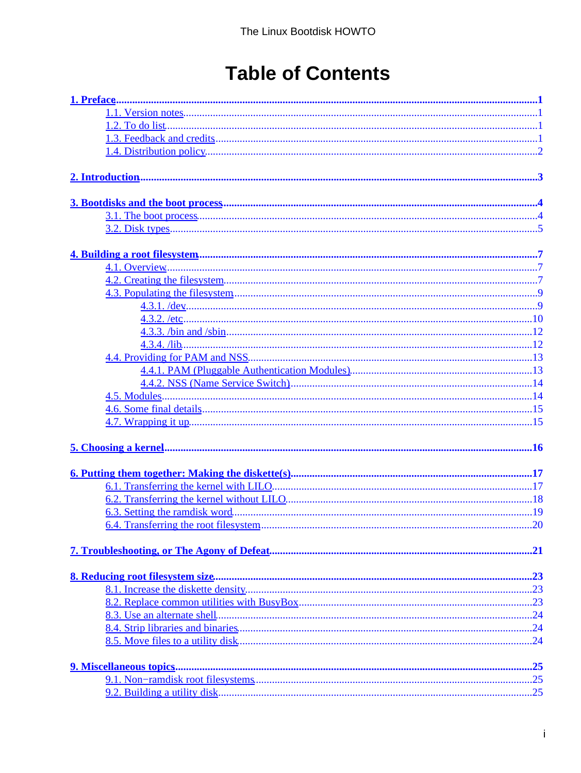### **Table of Contents**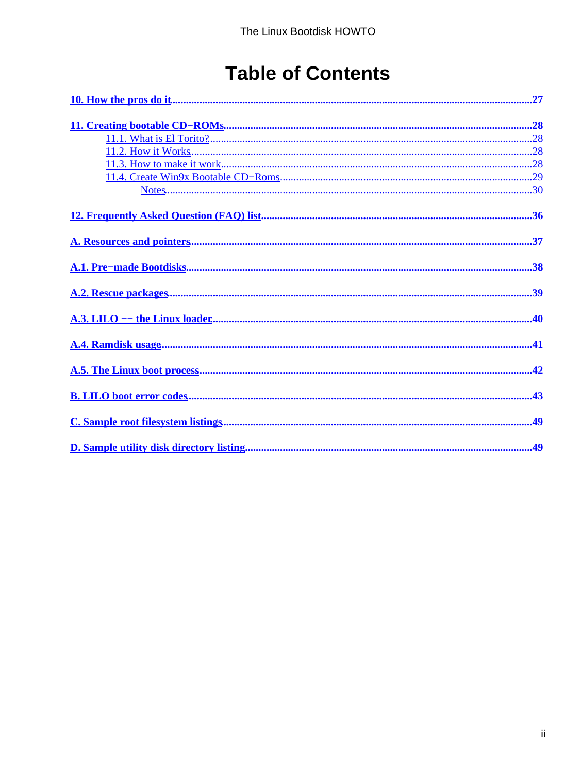### **Table of Contents**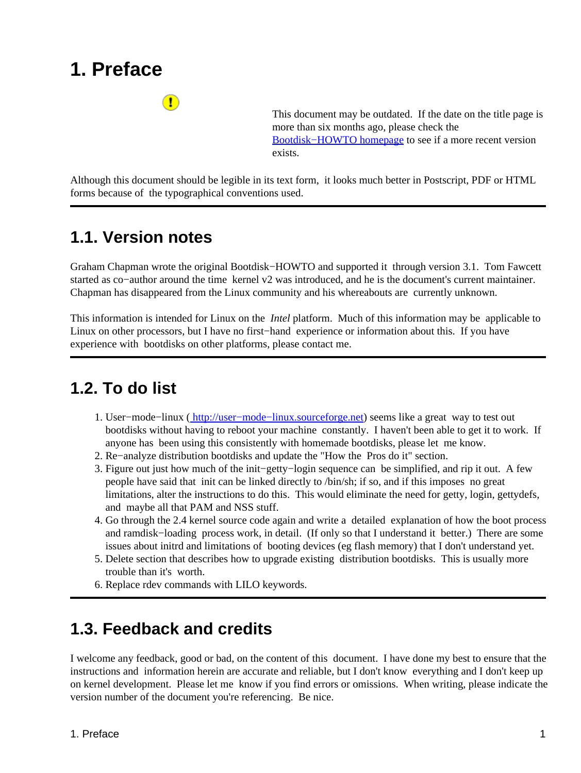### <span id="page-3-0"></span>**1. Preface**

This document may be outdated. If the date on the title page is more than six months ago, please check the Bootdisk–HOWTO homepage to see if a more recent version exists.

Although this document should be legible in its text form, it looks much better in Postscript, PDF or HTML forms because of the typographical conventions used.

#### **1.1. Version notes**

O

Graham Chapman wrote the original Bootdisk−HOWTO and supported it through version 3.1. Tom Fawcett started as co−author around the time kernel v2 was introduced, and he is the document's current maintainer. Chapman has disappeared from the Linux community and his whereabouts are currently unknown.

This information is intended for Linux on the *Intel* platform. Much of this information may be applicable to Linux on other processors, but I have no first−hand experience or information about this. If you have experience with bootdisks on other platforms, please contact me.

### **1.2. To do list**

- 1. User–mode–linux (http://user–mode–linux.sourceforge.net) seems like a great way to test out bootdisks without having to reboot your machine constantly. I haven't been able to get it to work. If anyone has been using this consistently with homemade bootdisks, please let me know.
- 2. Re−analyze distribution bootdisks and update the "How the Pros do it" section.
- 3. Figure out just how much of the init–getty–login sequence can be simplified, and rip it out. A few people have said that init can be linked directly to /bin/sh; if so, and if this imposes no great limitations, alter the instructions to do this. This would eliminate the need for getty, login, gettydefs, and maybe all that PAM and NSS stuff.
- Go through the 2.4 kernel source code again and write a detailed explanation of how the boot process 4. and ramdisk−loading process work, in detail. (If only so that I understand it better.) There are some issues about initrd and limitations of booting devices (eg flash memory) that I don't understand yet.
- 5. Delete section that describes how to upgrade existing distribution bootdisks. This is usually more trouble than it's worth.
- 6. Replace rdev commands with LILO keywords.

### **1.3. Feedback and credits**

I welcome any feedback, good or bad, on the content of this document. I have done my best to ensure that the instructions and information herein are accurate and reliable, but I don't know everything and I don't keep up on kernel development. Please let me know if you find errors or omissions. When writing, please indicate the version number of the document you're referencing. Be nice.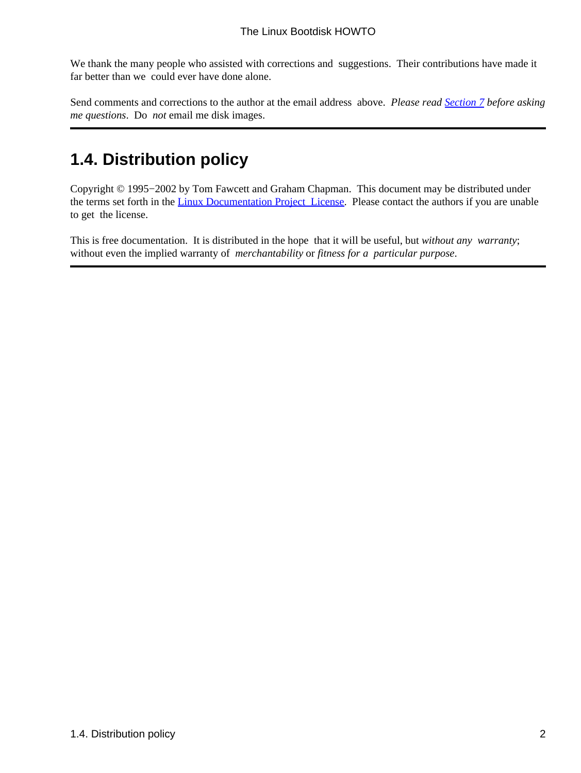<span id="page-4-0"></span>We thank the many people who assisted with corrections and suggestions. Their contributions have made it far better than we could ever have done alone.

Send comments and corrections to the author at the email address above. *Please read [Section 7](#page-23-0) before asking me questions*. Do *not* email me disk images.

### **1.4. Distribution policy**

Copyright © 1995−2002 by Tom Fawcett and Graham Chapman. This document may be distributed under the terms set forth in the [Linux Documentation Project License](http://linuxdoc.org/copyright.html). Please contact the authors if you are unable to get the license.

This is free documentation. It is distributed in the hope that it will be useful, but *without any warranty*; without even the implied warranty of *merchantability* or *fitness for a particular purpose*.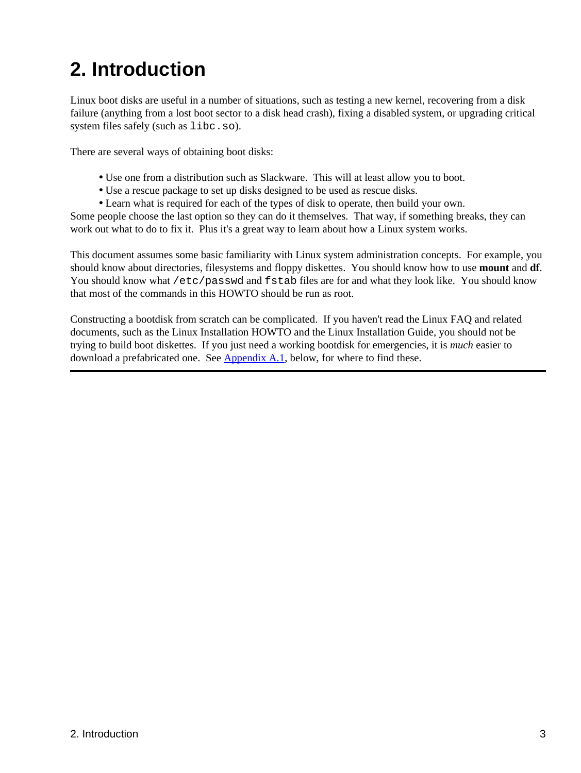# <span id="page-5-0"></span>**2. Introduction**

Linux boot disks are useful in a number of situations, such as testing a new kernel, recovering from a disk failure (anything from a lost boot sector to a disk head crash), fixing a disabled system, or upgrading critical system files safely (such as libc.so).

There are several ways of obtaining boot disks:

- Use one from a distribution such as Slackware. This will at least allow you to boot.
- Use a rescue package to set up disks designed to be used as rescue disks.
- Learn what is required for each of the types of disk to operate, then build your own.

Some people choose the last option so they can do it themselves. That way, if something breaks, they can work out what to do to fix it. Plus it's a great way to learn about how a Linux system works.

This document assumes some basic familiarity with Linux system administration concepts. For example, you should know about directories, filesystems and floppy diskettes. You should know how to use **mount** and **df**. You should know what /etc/passwd and fstab files are for and what they look like. You should know that most of the commands in this HOWTO should be run as root.

Constructing a bootdisk from scratch can be complicated. If you haven't read the Linux FAQ and related documents, such as the Linux Installation HOWTO and the Linux Installation Guide, you should not be trying to build boot diskettes. If you just need a working bootdisk for emergencies, it is *much* easier to download a prefabricated one. See [Appendix A.1,](#page-39-0) below, for where to find these.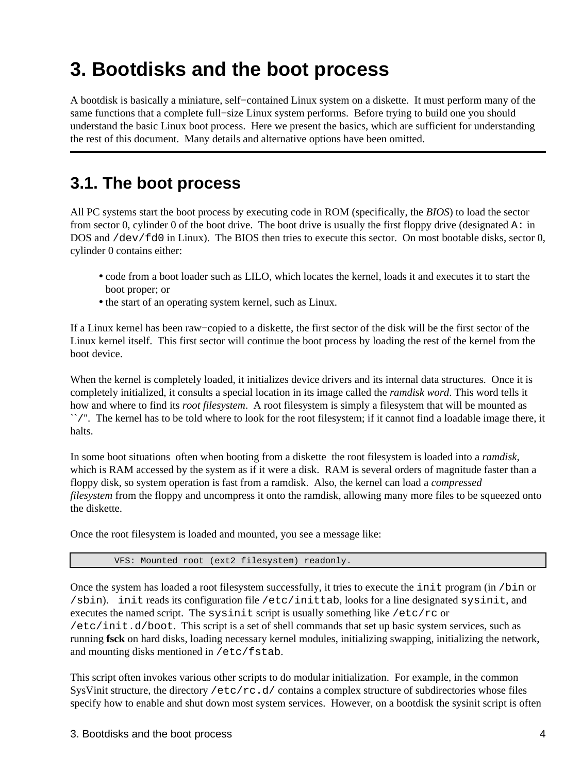## <span id="page-6-0"></span>**3. Bootdisks and the boot process**

A bootdisk is basically a miniature, self−contained Linux system on a diskette. It must perform many of the same functions that a complete full−size Linux system performs. Before trying to build one you should understand the basic Linux boot process. Here we present the basics, which are sufficient for understanding the rest of this document. Many details and alternative options have been omitted.

#### **3.1. The boot process**

All PC systems start the boot process by executing code in ROM (specifically, the *BIOS*) to load the sector from sector 0, cylinder 0 of the boot drive. The boot drive is usually the first floppy drive (designated  $A:$  in DOS and /dev/fd0 in Linux). The BIOS then tries to execute this sector. On most bootable disks, sector 0, cylinder 0 contains either:

- code from a boot loader such as LILO, which locates the kernel, loads it and executes it to start the boot proper; or
- the start of an operating system kernel, such as Linux.

If a Linux kernel has been raw−copied to a diskette, the first sector of the disk will be the first sector of the Linux kernel itself. This first sector will continue the boot process by loading the rest of the kernel from the boot device.

When the kernel is completely loaded, it initializes device drivers and its internal data structures. Once it is completely initialized, it consults a special location in its image called the *ramdisk word*. This word tells it how and where to find its *root filesystem*. A root filesystem is simply a filesystem that will be mounted as ``/''. The kernel has to be told where to look for the root filesystem; if it cannot find a loadable image there, it halts.

In some boot situations often when booting from a diskette the root filesystem is loaded into a *ramdisk*, which is RAM accessed by the system as if it were a disk. RAM is several orders of magnitude faster than a floppy disk, so system operation is fast from a ramdisk. Also, the kernel can load a *compressed filesystem* from the floppy and uncompress it onto the ramdisk, allowing many more files to be squeezed onto the diskette.

Once the root filesystem is loaded and mounted, you see a message like:

VFS: Mounted root (ext2 filesystem) readonly.

Once the system has loaded a root filesystem successfully, it tries to execute the init program (in /bin or /sbin). init reads its configuration file /etc/inittab, looks for a line designated sysinit, and executes the named script. The sysinit script is usually something like  $/etc/rc$  or /etc/init.d/boot. This script is a set of shell commands that set up basic system services, such as running **fsck** on hard disks, loading necessary kernel modules, initializing swapping, initializing the network, and mounting disks mentioned in /etc/fstab.

This script often invokes various other scripts to do modular initialization. For example, in the common SysVinit structure, the directory /etc/rc.d/ contains a complex structure of subdirectories whose files specify how to enable and shut down most system services. However, on a bootdisk the sysinit script is often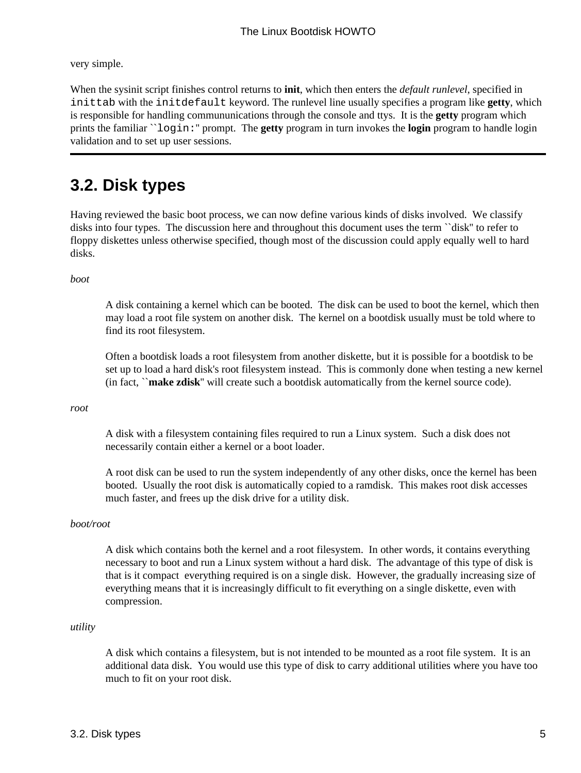<span id="page-7-0"></span>very simple.

When the sysinit script finishes control returns to **init**, which then enters the *default runlevel*, specified in inittab with the initdefault keyword. The runlevel line usually specifies a program like **getty**, which is responsible for handling commununications through the console and ttys. It is the **getty** program which prints the familiar ``login:'' prompt. The **getty** program in turn invokes the **login** program to handle login validation and to set up user sessions.

### **3.2. Disk types**

Having reviewed the basic boot process, we can now define various kinds of disks involved. We classify disks into four types. The discussion here and throughout this document uses the term ``disk'' to refer to floppy diskettes unless otherwise specified, though most of the discussion could apply equally well to hard disks.

*boot*

A disk containing a kernel which can be booted. The disk can be used to boot the kernel, which then may load a root file system on another disk. The kernel on a bootdisk usually must be told where to find its root filesystem.

Often a bootdisk loads a root filesystem from another diskette, but it is possible for a bootdisk to be set up to load a hard disk's root filesystem instead. This is commonly done when testing a new kernel (in fact, ``**make zdisk**'' will create such a bootdisk automatically from the kernel source code).

*root*

A disk with a filesystem containing files required to run a Linux system. Such a disk does not necessarily contain either a kernel or a boot loader.

A root disk can be used to run the system independently of any other disks, once the kernel has been booted. Usually the root disk is automatically copied to a ramdisk. This makes root disk accesses much faster, and frees up the disk drive for a utility disk.

#### *boot/root*

A disk which contains both the kernel and a root filesystem. In other words, it contains everything necessary to boot and run a Linux system without a hard disk. The advantage of this type of disk is that is it compact everything required is on a single disk. However, the gradually increasing size of everything means that it is increasingly difficult to fit everything on a single diskette, even with compression.

#### *utility*

A disk which contains a filesystem, but is not intended to be mounted as a root file system. It is an additional data disk. You would use this type of disk to carry additional utilities where you have too much to fit on your root disk.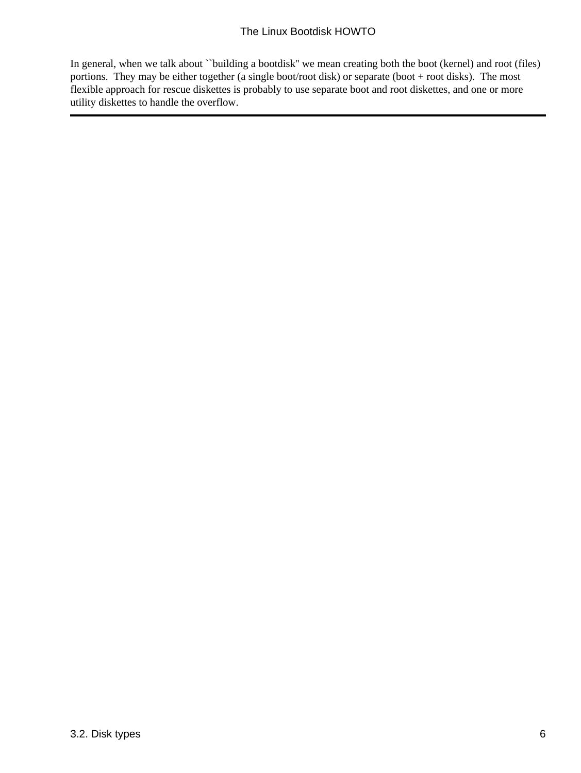#### The Linux Bootdisk HOWTO

In general, when we talk about ``building a bootdisk'' we mean creating both the boot (kernel) and root (files) portions. They may be either together (a single boot/root disk) or separate (boot + root disks). The most flexible approach for rescue diskettes is probably to use separate boot and root diskettes, and one or more utility diskettes to handle the overflow.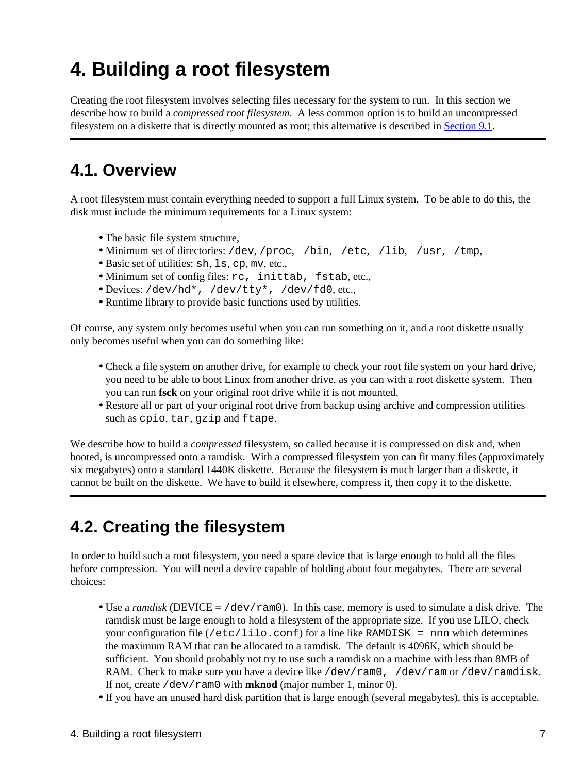## <span id="page-9-0"></span>**4. Building a root filesystem**

Creating the root filesystem involves selecting files necessary for the system to run. In this section we describe how to build a *compressed root filesystem*. A less common option is to build an uncompressed filesystem on a diskette that is directly mounted as root; this alternative is described in [Section 9.1](#page-27-0).

#### **4.1. Overview**

A root filesystem must contain everything needed to support a full Linux system. To be able to do this, the disk must include the minimum requirements for a Linux system:

- The basic file system structure,
- Minimum set of directories: /dev, /proc, /bin, /etc, /lib, /usr, /tmp,
- Basic set of utilities: sh, ls, cp, mv, etc.,
- Minimum set of config files: rc, inittab, fstab, etc.,
- Devices: /dev/hd\*, /dev/tty\*, /dev/fd0, etc.,
- Runtime library to provide basic functions used by utilities.

Of course, any system only becomes useful when you can run something on it, and a root diskette usually only becomes useful when you can do something like:

- Check a file system on another drive, for example to check your root file system on your hard drive, you need to be able to boot Linux from another drive, as you can with a root diskette system. Then you can run **fsck** on your original root drive while it is not mounted.
- Restore all or part of your original root drive from backup using archive and compression utilities such as cpio, tar, gzip and ftape.

We describe how to build a *compressed* filesystem, so called because it is compressed on disk and, when booted, is uncompressed onto a ramdisk. With a compressed filesystem you can fit many files (approximately six megabytes) onto a standard 1440K diskette. Because the filesystem is much larger than a diskette, it cannot be built on the diskette. We have to build it elsewhere, compress it, then copy it to the diskette.

### **4.2. Creating the filesystem**

In order to build such a root filesystem, you need a spare device that is large enough to hold all the files before compression. You will need a device capable of holding about four megabytes. There are several choices:

- Use a *ramdisk* (DEVICE =  $/\text{dev}/\text{ram0}$ ). In this case, memory is used to simulate a disk drive. The ramdisk must be large enough to hold a filesystem of the appropriate size. If you use LILO, check your configuration file (/etc/lilo.conf) for a line like RAMDISK = nnn which determines the maximum RAM that can be allocated to a ramdisk. The default is 4096K, which should be sufficient. You should probably not try to use such a ramdisk on a machine with less than 8MB of RAM. Check to make sure you have a device like /dev/ram0, /dev/ram or /dev/ramdisk. If not, create /dev/ram0 with **mknod** (major number 1, minor 0).
- If you have an unused hard disk partition that is large enough (several megabytes), this is acceptable.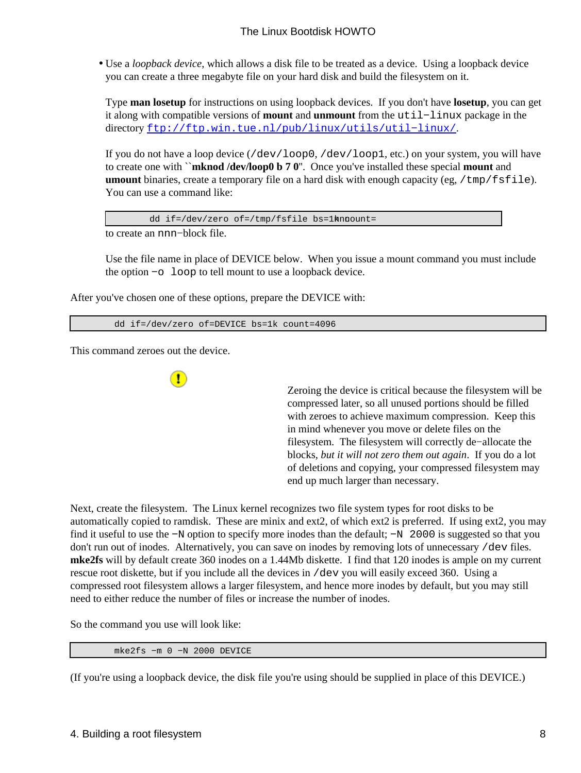Use a *loopback device*, which allows a disk file to be treated as a device. Using a loopback device • you can create a three megabyte file on your hard disk and build the filesystem on it.

Type **man losetup** for instructions on using loopback devices. If you don't have **losetup**, you can get it along with compatible versions of **mount** and **unmount** from the util−linux package in the directory [ftp://ftp.win.tue.nl/pub/linux/utils/util−linux/](ftp://ftp.win.tue.nl/pub/linux-local/utils/util-linux/).

If you do not have a loop device (/dev/loop0, /dev/loop1, etc.) on your system, you will have to create one with ``**mknod /dev/loop0 b 7 0**''. Once you've installed these special **mount** and **umount** binaries, create a temporary file on a hard disk with enough capacity (eg,  $/\text{tmp}/\text{fsfile}$ ). You can use a command like:

```
dd if=/dev/zero of=/tmp/fsfile bs=1knnount=
```
to create an nnn−block file.

Use the file name in place of DEVICE below. When you issue a mount command you must include the option −o loop to tell mount to use a loopback device.

After you've chosen one of these options, prepare the DEVICE with:

dd if=/dev/zero of=DEVICE bs=1k count=4096

This command zeroes out the device.

œ

Zeroing the device is critical because the filesystem will be compressed later, so all unused portions should be filled with zeroes to achieve maximum compression. Keep this in mind whenever you move or delete files on the filesystem. The filesystem will correctly de−allocate the blocks, *but it will not zero them out again*. If you do a lot of deletions and copying, your compressed filesystem may end up much larger than necessary.

Next, create the filesystem. The Linux kernel recognizes two file system types for root disks to be automatically copied to ramdisk. These are minix and ext2, of which ext2 is preferred. If using ext2, you may find it useful to use the −N option to specify more inodes than the default; −N 2000 is suggested so that you don't run out of inodes. Alternatively, you can save on inodes by removing lots of unnecessary /dev files. **mke2fs** will by default create 360 inodes on a 1.44Mb diskette. I find that 120 inodes is ample on my current rescue root diskette, but if you include all the devices in /dev you will easily exceed 360. Using a compressed root filesystem allows a larger filesystem, and hence more inodes by default, but you may still need to either reduce the number of files or increase the number of inodes.

So the command you use will look like:

mke2fs −m 0 −N 2000 DEVICE

(If you're using a loopback device, the disk file you're using should be supplied in place of this DEVICE.)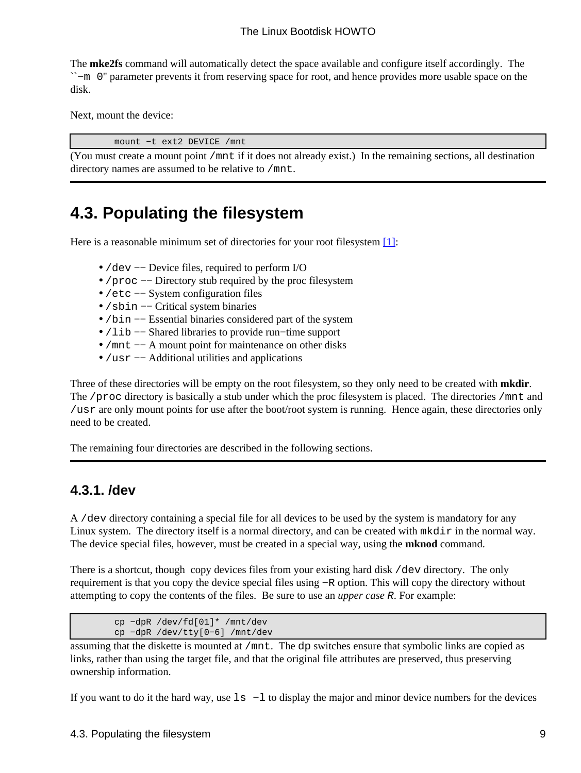<span id="page-11-0"></span>The **mke2fs** command will automatically detect the space available and configure itself accordingly. The ``−m 0'' parameter prevents it from reserving space for root, and hence provides more usable space on the disk.

Next, mount the device:

mount −t ext2 DEVICE /mnt

(You must create a mount point /mnt if it does not already exist.) In the remaining sections, all destination directory names are assumed to be relative to /mnt.

### **4.3. Populating the filesystem**

Here is a reasonable minimum set of directories for your root filesystem [\[1\]](#page-51-0):

- /dev −− Device files, required to perform I/O
- /proc −− Directory stub required by the proc filesystem
- /etc −− System configuration files
- /sbin −− Critical system binaries
- /bin −− Essential binaries considered part of the system
- /lib −− Shared libraries to provide run−time support
- /mnt −− A mount point for maintenance on other disks
- /usr −− Additional utilities and applications

Three of these directories will be empty on the root filesystem, so they only need to be created with **mkdir**. The /proc directory is basically a stub under which the proc filesystem is placed. The directories /mnt and /usr are only mount points for use after the boot/root system is running. Hence again, these directories only need to be created.

The remaining four directories are described in the following sections.

#### **4.3.1. /dev**

A /dev directory containing a special file for all devices to be used by the system is mandatory for any Linux system. The directory itself is a normal directory, and can be created with mkdir in the normal way. The device special files, however, must be created in a special way, using the **mknod** command.

There is a shortcut, though copy devices files from your existing hard disk /dev directory. The only requirement is that you copy the device special files using −R option. This will copy the directory without attempting to copy the contents of the files. Be sure to use an *upper case* R. For example:

 cp −dpR /dev/fd[01]\* /mnt/dev cp −dpR /dev/tty[0−6] /mnt/dev

assuming that the diskette is mounted at /mnt. The dp switches ensure that symbolic links are copied as links, rather than using the target file, and that the original file attributes are preserved, thus preserving ownership information.

If you want to do it the hard way, use ls −l to display the major and minor device numbers for the devices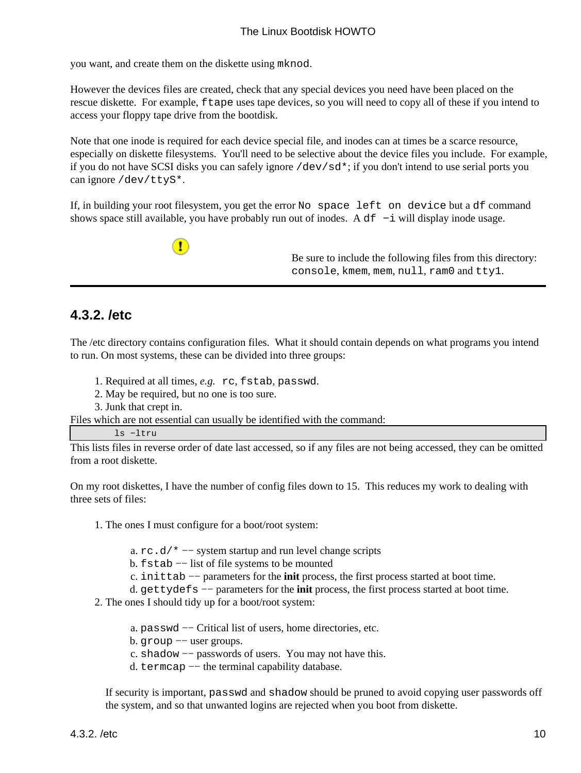<span id="page-12-0"></span>you want, and create them on the diskette using mknod.

However the devices files are created, check that any special devices you need have been placed on the rescue diskette. For example, ftape uses tape devices, so you will need to copy all of these if you intend to access your floppy tape drive from the bootdisk.

Note that one inode is required for each device special file, and inodes can at times be a scarce resource, especially on diskette filesystems. You'll need to be selective about the device files you include. For example, if you do not have SCSI disks you can safely ignore /dev/sd\*; if you don't intend to use serial ports you can ignore /dev/ttyS\*.

If, in building your root filesystem, you get the error No space left on device but a df command shows space still available, you have probably run out of inodes. A df −i will display inode usage.

Be sure to include the following files from this directory: console, kmem, mem, null, ram0 and tty1.

#### **4.3.2. /etc**

The /etc directory contains configuration files. What it should contain depends on what programs you intend to run. On most systems, these can be divided into three groups:

- 1. Required at all times, *e.g.* rc, fstab, passwd.
- 2. May be required, but no one is too sure.
- 3. Junk that crept in.

Files which are not essential can usually be identified with the command:

ls −ltru

This lists files in reverse order of date last accessed, so if any files are not being accessed, they can be omitted from a root diskette.

On my root diskettes, I have the number of config files down to 15. This reduces my work to dealing with three sets of files:

#### 1. The ones I must configure for a boot/root system:

a. rc.d/\*  $-$  system startup and run level change scripts

b. fstab −− list of file systems to be mounted

c. inittab −− parameters for the **init** process, the first process started at boot time.

d. gettydefs −− parameters for the **init** process, the first process started at boot time.

2. The ones I should tidy up for a boot/root system:

a. passwd −− Critical list of users, home directories, etc.

b. group −− user groups.

c. shadow −− passwords of users. You may not have this.

d. termcap −− the terminal capability database.

If security is important, passwd and shadow should be pruned to avoid copying user passwords off the system, and so that unwanted logins are rejected when you boot from diskette.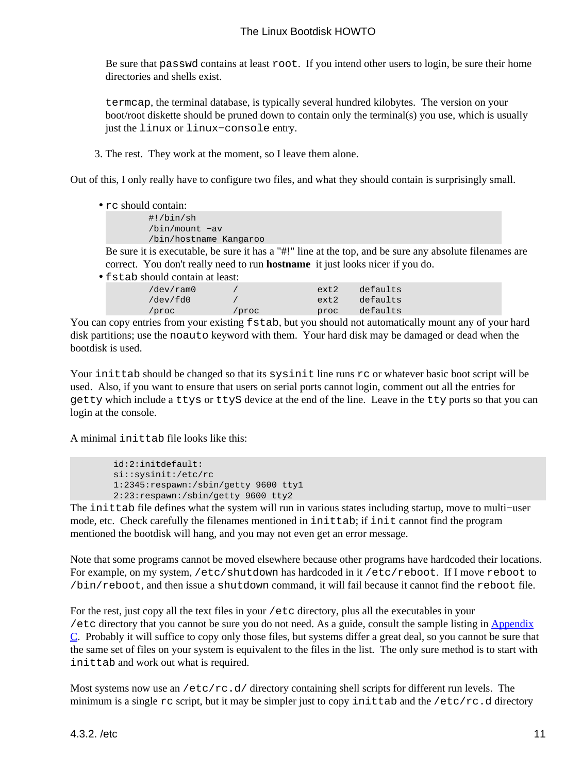Be sure that passwd contains at least root. If you intend other users to login, be sure their home directories and shells exist.

termcap, the terminal database, is typically several hundred kilobytes. The version on your boot/root diskette should be pruned down to contain only the terminal(s) you use, which is usually just the linux or linux−console entry.

3. The rest. They work at the moment, so I leave them alone.

Out of this, I only really have to configure two files, and what they should contain is surprisingly small.

• rc should contain:

 #!/bin/sh /bin/mount −av /bin/hostname Kangaroo

Be sure it is executable, be sure it has a "#!" line at the top, and be sure any absolute filenames are correct. You don't really need to run **hostname** it just looks nicer if you do.

• fstab should contain at least:

| /dev/ram0 |       | ext2 | defaults |
|-----------|-------|------|----------|
| /dev/fd0  |       | ext2 | defaults |
| /proc     | /proc | proc | defaults |

You can copy entries from your existing  $f$  stab, but you should not automatically mount any of your hard disk partitions; use the noauto keyword with them. Your hard disk may be damaged or dead when the bootdisk is used.

Your inittab should be changed so that its sysinit line runs rc or whatever basic boot script will be used. Also, if you want to ensure that users on serial ports cannot login, comment out all the entries for getty which include a ttys or ttyS device at the end of the line. Leave in the tty ports so that you can login at the console.

A minimal inittab file looks like this:

 id:2:initdefault: si::sysinit:/etc/rc 1:2345:respawn:/sbin/getty 9600 tty1 2:23:respawn:/sbin/getty 9600 tty2

The inittab file defines what the system will run in various states including startup, move to multi−user mode, etc. Check carefully the filenames mentioned in inittab; if init cannot find the program mentioned the bootdisk will hang, and you may not even get an error message.

Note that some programs cannot be moved elsewhere because other programs have hardcoded their locations. For example, on my system, /etc/shutdown has hardcoded in it /etc/reboot. If I move reboot to /bin/reboot, and then issue a shutdown command, it will fail because it cannot find the reboot file.

For the rest, just copy all the text files in your /etc directory, plus all the executables in your /etc directory that you cannot be sure you do not need. As a guide, consult the sample listing in [Appendix](#page-45-0) [C](#page-45-0). Probably it will suffice to copy only those files, but systems differ a great deal, so you cannot be sure that the same set of files on your system is equivalent to the files in the list. The only sure method is to start with inittab and work out what is required.

Most systems now use an  $/\text{etc}/\text{rc}$ .d/ directory containing shell scripts for different run levels. The minimum is a single  $rc$  script, but it may be simpler just to copy inittab and the /etc/rc.d directory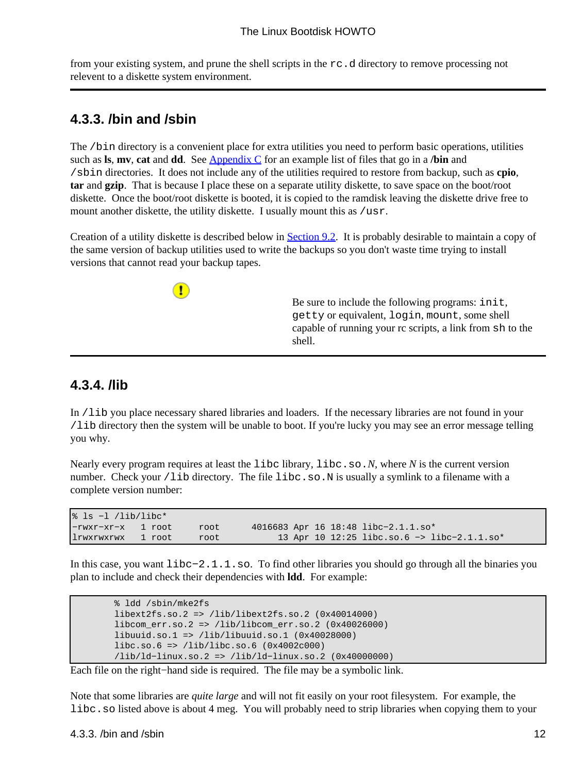<span id="page-14-0"></span>from your existing system, and prune the shell scripts in the rc.d directory to remove processing not relevent to a diskette system environment.

#### **4.3.3. /bin and /sbin**

п

The /bin directory is a convenient place for extra utilities you need to perform basic operations, utilities such as **ls**, **mv**, **cat** and **dd**. See [Appendix C](#page-45-0) for an example list of files that go in a **/bin** and /sbin directories. It does not include any of the utilities required to restore from backup, such as **cpio**, **tar** and **gzip**. That is because I place these on a separate utility diskette, to save space on the boot/root diskette. Once the boot/root diskette is booted, it is copied to the ramdisk leaving the diskette drive free to mount another diskette, the utility diskette. I usually mount this as /usr.

Creation of a utility diskette is described below in [Section 9.2.](#page-27-0) It is probably desirable to maintain a copy of the same version of backup utilities used to write the backups so you don't waste time trying to install versions that cannot read your backup tapes.

> Be sure to include the following programs: init, getty or equivalent, login, mount, some shell capable of running your rc scripts, a link from sh to the shell.

#### **4.3.4. /lib**

In /lib you place necessary shared libraries and loaders. If the necessary libraries are not found in your /lib directory then the system will be unable to boot. If you're lucky you may see an error message telling you why.

Nearly every program requires at least the libc library, libc.so.*N*, where *N* is the current version number. Check your /lib directory. The file libc.so.N is usually a symlink to a filename with a complete version number:

% ls −l /lib/libc\* −rwxr−xr−x 1 root root 4016683 Apr 16 18:48 libc−2.1.1.so\* lrwxrwxrwx 1 root root 13 Apr 10 12:25 libc.so.6 −> libc−2.1.1.so\*

In this case, you want libc−2.1.1.so. To find other libraries you should go through all the binaries you plan to include and check their dependencies with **ldd**. For example:

```
 % ldd /sbin/mke2fs
 libext2fs.so.2 => /lib/libext2fs.so.2 (0x40014000)
 libcom_err.so.2 => /lib/libcom_err.so.2 (0x40026000)
 libuuid.so.1 => /lib/libuuid.so.1 (0x40028000)
 libc.so.6 => /lib/libc.so.6 (0x4002c000)
 /lib/ld−linux.so.2 => /lib/ld−linux.so.2 (0x40000000)
```
Each file on the right−hand side is required. The file may be a symbolic link.

Note that some libraries are *quite large* and will not fit easily on your root filesystem. For example, the libc.so listed above is about 4 meg. You will probably need to strip libraries when copying them to your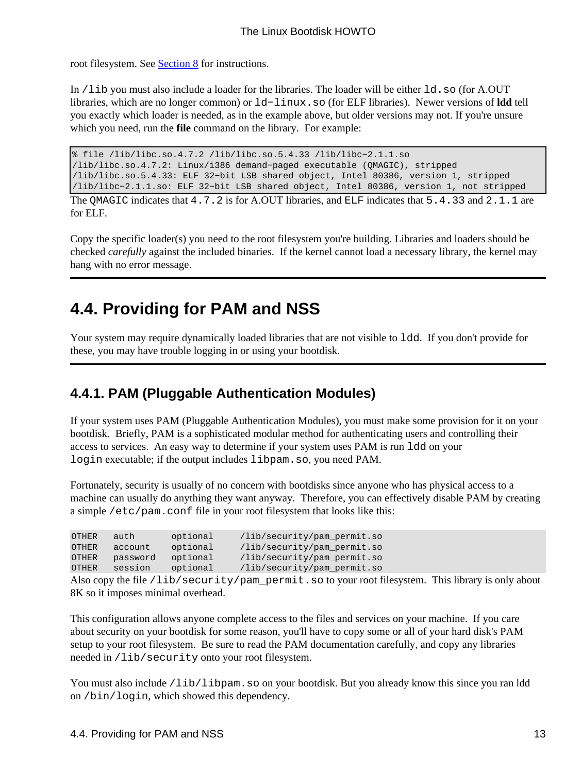<span id="page-15-0"></span>root filesystem. See **[Section 8](#page-25-0)** for instructions.

In /lib you must also include a loader for the libraries. The loader will be either  $1d$ , so (for A.OUT libraries, which are no longer common) or ld−linux.so (for ELF libraries). Newer versions of **ldd** tell you exactly which loader is needed, as in the example above, but older versions may not. If you're unsure which you need, run the **file** command on the library. For example:

% file /lib/libc.so.4.7.2 /lib/libc.so.5.4.33 /lib/libc−2.1.1.so /lib/libc.so.4.7.2: Linux/i386 demand−paged executable (QMAGIC), stripped /lib/libc.so.5.4.33: ELF 32−bit LSB shared object, Intel 80386, version 1, stripped /lib/libc−2.1.1.so: ELF 32−bit LSB shared object, Intel 80386, version 1, not stripped

The QMAGIC indicates that 4.7.2 is for A.OUT libraries, and ELF indicates that 5.4.33 and 2.1.1 are for ELF.

Copy the specific loader(s) you need to the root filesystem you're building. Libraries and loaders should be checked *carefully* against the included binaries. If the kernel cannot load a necessary library, the kernel may hang with no error message.

### **4.4. Providing for PAM and NSS**

Your system may require dynamically loaded libraries that are not visible to 1dd. If you don't provide for these, you may have trouble logging in or using your bootdisk.

#### **4.4.1. PAM (Pluggable Authentication Modules)**

If your system uses PAM (Pluggable Authentication Modules), you must make some provision for it on your bootdisk. Briefly, PAM is a sophisticated modular method for authenticating users and controlling their access to services. An easy way to determine if your system uses PAM is run ldd on your login executable; if the output includes libpam.so, you need PAM.

Fortunately, security is usually of no concern with bootdisks since anyone who has physical access to a machine can usually do anything they want anyway. Therefore, you can effectively disable PAM by creating a simple /etc/pam.conf file in your root filesystem that looks like this:

| <b>OTHER</b><br><b>OTHER</b> | auth<br>account | optional<br>optional | /lib/security/pam_permit.so<br>/lib/security/pam_permit.so |  |
|------------------------------|-----------------|----------------------|------------------------------------------------------------|--|
| <b>OTHER</b>                 | password        | optional             | /lib/security/pam permit.so                                |  |
| <b>OTHER</b>                 | session         | optional             | /lib/security/pam_permit.so                                |  |
|                              |                 |                      |                                                            |  |

Also copy the file /lib/security/pam\_permit.so to your root filesystem. This library is only about 8K so it imposes minimal overhead.

This configuration allows anyone complete access to the files and services on your machine. If you care about security on your bootdisk for some reason, you'll have to copy some or all of your hard disk's PAM setup to your root filesystem. Be sure to read the PAM documentation carefully, and copy any libraries needed in /lib/security onto your root filesystem.

You must also include /lib/libpam.so on your bootdisk. But you already know this since you ran ldd on /bin/login, which showed this dependency.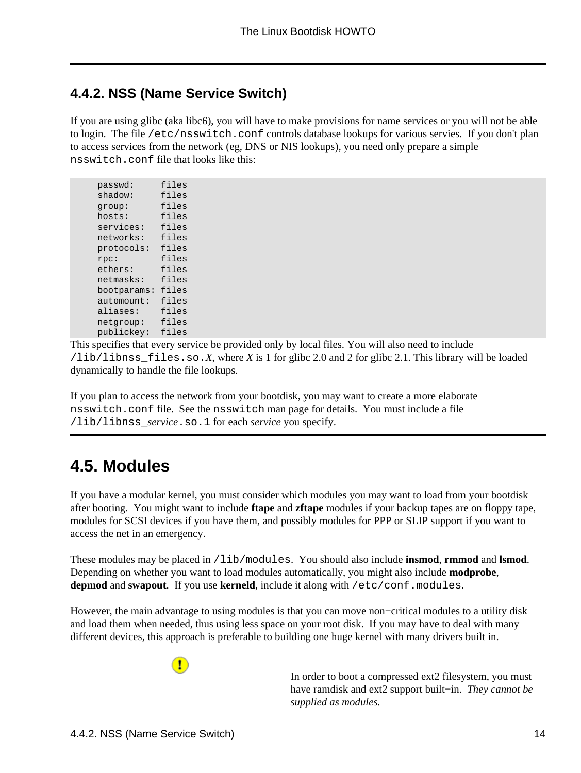#### <span id="page-16-0"></span>**4.4.2. NSS (Name Service Switch)**

If you are using glibc (aka libc6), you will have to make provisions for name services or you will not be able to login. The file /etc/nsswitch.conf controls database lookups for various servies. If you don't plan to access services from the network (eg, DNS or NIS lookups), you need only prepare a simple nsswitch.conf file that looks like this:

| passwd:     | files |
|-------------|-------|
| shadow:     | files |
| qroup:      | files |
| hosts:      | files |
| services:   | files |
| networks:   | files |
| protocols:  | files |
| rpc:        | files |
| ethers:     | files |
| netmasks:   | files |
| bootparams: | files |
| automount:  | files |
| aliases:    | files |
| netgroup:   | files |
| publickey:  | files |

This specifies that every service be provided only by local files. You will also need to include  $/$ lib $/$ libnss files.so.*X*, where *X* is 1 for glibc 2.0 and 2 for glibc 2.1. This library will be loaded dynamically to handle the file lookups.

If you plan to access the network from your bootdisk, you may want to create a more elaborate nsswitch.conf file. See the nsswitch man page for details. You must include a file /lib/libnss\_*service*.so.1 for each *service* you specify.

#### **4.5. Modules**

If you have a modular kernel, you must consider which modules you may want to load from your bootdisk after booting. You might want to include **ftape** and **zftape** modules if your backup tapes are on floppy tape, modules for SCSI devices if you have them, and possibly modules for PPP or SLIP support if you want to access the net in an emergency.

These modules may be placed in /lib/modules. You should also include **insmod**, **rmmod** and **lsmod**. Depending on whether you want to load modules automatically, you might also include **modprobe**, **depmod** and **swapout**. If you use **kerneld**, include it along with /etc/conf.modules.

However, the main advantage to using modules is that you can move non−critical modules to a utility disk and load them when needed, thus using less space on your root disk. If you may have to deal with many different devices, this approach is preferable to building one huge kernel with many drivers built in.

> In order to boot a compressed ext2 filesystem, you must have ramdisk and ext2 support built−in. *They cannot be supplied as modules.*

Ŧ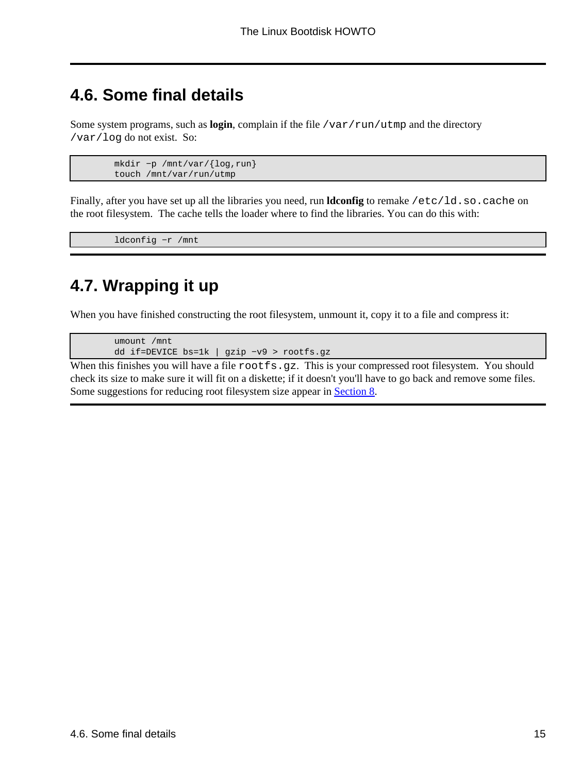### <span id="page-17-0"></span>**4.6. Some final details**

Some system programs, such as **login**, complain if the file /var/run/utmp and the directory /var/log do not exist. So:

> mkdir −p /mnt/var/{log,run} touch /mnt/var/run/utmp

Finally, after you have set up all the libraries you need, run **ldconfig** to remake /etc/ld.so.cache on the root filesystem. The cache tells the loader where to find the libraries. You can do this with:

ldconfig −r /mnt

### **4.7. Wrapping it up**

When you have finished constructing the root filesystem, unmount it, copy it to a file and compress it:

 umount /mnt dd if=DEVICE bs=1k | gzip −v9 > rootfs.gz

When this finishes you will have a file rootfs.gz. This is your compressed root filesystem. You should check its size to make sure it will fit on a diskette; if it doesn't you'll have to go back and remove some files. Some suggestions for reducing root filesystem size appear in [Section 8.](#page-25-0)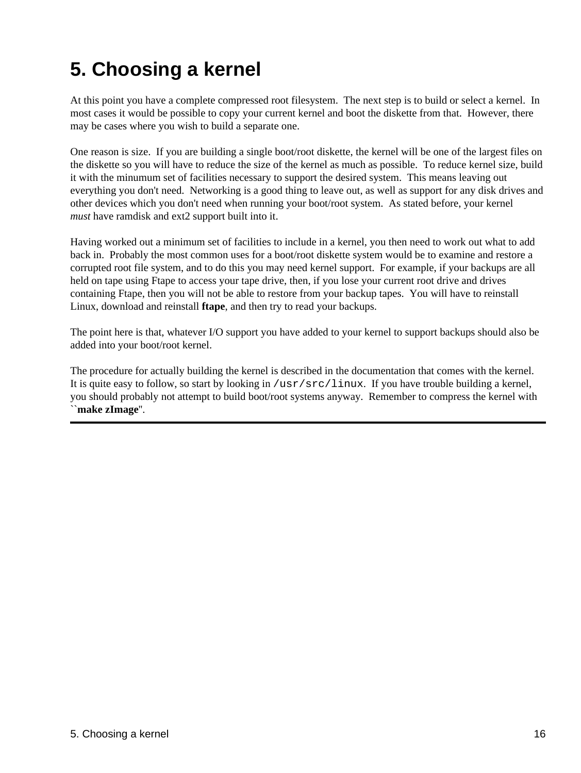# <span id="page-18-0"></span>**5. Choosing a kernel**

At this point you have a complete compressed root filesystem. The next step is to build or select a kernel. In most cases it would be possible to copy your current kernel and boot the diskette from that. However, there may be cases where you wish to build a separate one.

One reason is size. If you are building a single boot/root diskette, the kernel will be one of the largest files on the diskette so you will have to reduce the size of the kernel as much as possible. To reduce kernel size, build it with the minumum set of facilities necessary to support the desired system. This means leaving out everything you don't need. Networking is a good thing to leave out, as well as support for any disk drives and other devices which you don't need when running your boot/root system. As stated before, your kernel *must* have ramdisk and ext2 support built into it.

Having worked out a minimum set of facilities to include in a kernel, you then need to work out what to add back in. Probably the most common uses for a boot/root diskette system would be to examine and restore a corrupted root file system, and to do this you may need kernel support. For example, if your backups are all held on tape using Ftape to access your tape drive, then, if you lose your current root drive and drives containing Ftape, then you will not be able to restore from your backup tapes. You will have to reinstall Linux, download and reinstall **ftape**, and then try to read your backups.

The point here is that, whatever I/O support you have added to your kernel to support backups should also be added into your boot/root kernel.

The procedure for actually building the kernel is described in the documentation that comes with the kernel. It is quite easy to follow, so start by looking in /usr/src/linux. If you have trouble building a kernel, you should probably not attempt to build boot/root systems anyway. Remember to compress the kernel with ``**make zImage**''.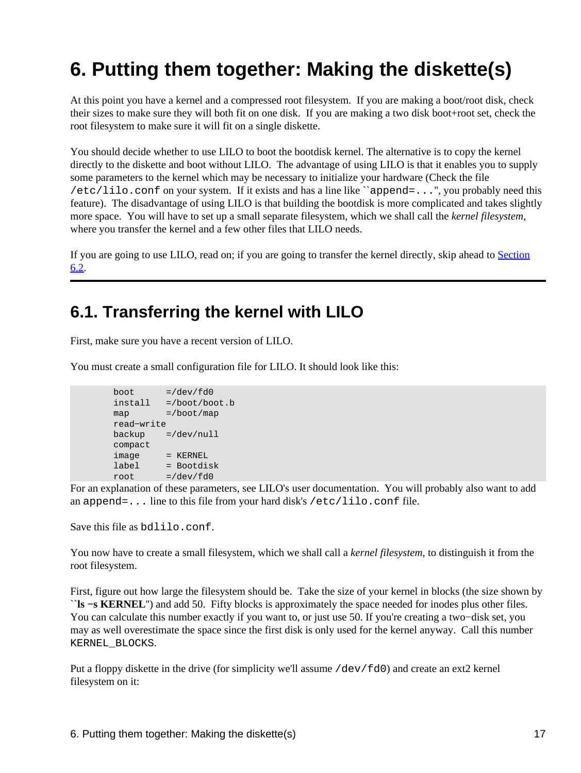# <span id="page-19-0"></span>**6. Putting them together: Making the diskette(s)**

At this point you have a kernel and a compressed root filesystem. If you are making a boot/root disk, check their sizes to make sure they will both fit on one disk. If you are making a two disk boot+root set, check the root filesystem to make sure it will fit on a single diskette.

You should decide whether to use LILO to boot the bootdisk kernel. The alternative is to copy the kernel directly to the diskette and boot without LILO. The advantage of using LILO is that it enables you to supply some parameters to the kernel which may be necessary to initialize your hardware (Check the file /etc/lilo.conf on your system. If it exists and has a line like ``append=...'', you probably need this feature). The disadvantage of using LILO is that building the bootdisk is more complicated and takes slightly more space. You will have to set up a small separate filesystem, which we shall call the *kernel filesystem*, where you transfer the kernel and a few other files that LILO needs.

If you are going to use LILO, read on; if you are going to transfer the kernel directly, skip ahead to [Section](#page-20-0) [6.2.](#page-20-0)

#### **6.1. Transferring the kernel with LILO**

First, make sure you have a recent version of LILO.

You must create a small configuration file for LILO. It should look like this:

```
boot =/dev/fd0 install =/boot/boot.b
map =/boot/map
 read−write
 backup =/dev/null
 compact
image = KERNEL label = Bootdisk
root =/dev/fd0
```
For an explanation of these parameters, see LILO's user documentation. You will probably also want to add an append= $\ldots$  line to this file from your hard disk's /etc/lilo.conf file.

Save this file as bdlilo.conf.

You now have to create a small filesystem, which we shall call a *kernel filesystem*, to distinguish it from the root filesystem.

First, figure out how large the filesystem should be. Take the size of your kernel in blocks (the size shown by ``**ls −s KERNEL**'') and add 50. Fifty blocks is approximately the space needed for inodes plus other files. You can calculate this number exactly if you want to, or just use 50. If you're creating a two−disk set, you may as well overestimate the space since the first disk is only used for the kernel anyway. Call this number KERNEL\_BLOCKS.

Put a floppy diskette in the drive (for simplicity we'll assume /dev/fd0) and create an ext2 kernel filesystem on it: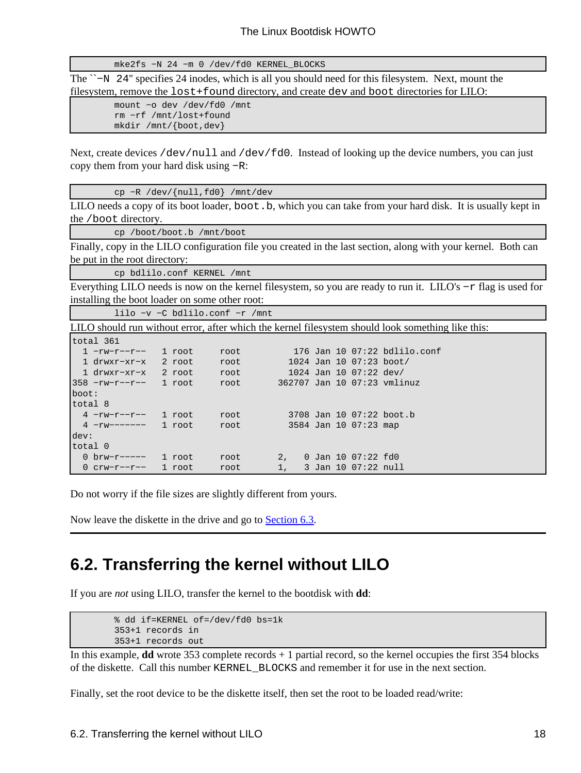mke2fs −N 24 −m 0 /dev/fd0 KERNEL\_BLOCKS

<span id="page-20-0"></span>The ``−N 24'' specifies 24 inodes, which is all you should need for this filesystem. Next, mount the filesystem, remove the lost+found directory, and create dev and boot directories for LILO:

```
 mount −o dev /dev/fd0 /mnt
 rm −rf /mnt/lost+found
 mkdir /mnt/{boot,dev}
```
Next, create devices /dev/null and /dev/fd0. Instead of looking up the device numbers, you can just copy them from your hard disk using −R:

cp −R /dev/{null,fd0} /mnt/dev

LILO needs a copy of its boot loader, boot. b, which you can take from your hard disk. It is usually kept in the /boot directory.

cp /boot/boot.b /mnt/boot

Finally, copy in the LILO configuration file you created in the last section, along with your kernel. Both can be put in the root directory:

cp bdlilo.conf KERNEL /mnt

Everything LILO needs is now on the kernel filesystem, so you are ready to run it. LILO's −r flag is used for installing the boot loader on some other root:

|         | lilo $-v$ -C bdlilo.conf $-r$ /mnt                                                     |  |      |                          |  |                                                                 |                                                                                                   |  |
|---------|----------------------------------------------------------------------------------------|--|------|--------------------------|--|-----------------------------------------------------------------|---------------------------------------------------------------------------------------------------|--|
|         |                                                                                        |  |      |                          |  |                                                                 | LILO should run without error, after which the kernel filesystem should look something like this: |  |
|         | total 361                                                                              |  |      |                          |  |                                                                 |                                                                                                   |  |
|         | $1$ -rw-r--r-- $1$ root                                                                |  | root |                          |  |                                                                 | 176 Jan 10 07:22 bdlilo.conf                                                                      |  |
|         | 1 drwxr-xr-x 2 root                                                                    |  | root |                          |  | 1024 Jan 10 07:23 boot/                                         |                                                                                                   |  |
|         | 1 drwxr-xr-x 2 root toot                                                               |  |      | $1024$ Jan 10 07:22 dev/ |  |                                                                 |                                                                                                   |  |
|         | $1358$ -rw-r--r-- 1 root root 362707 Jan 10 07:23 vmlinuz                              |  |      |                          |  |                                                                 |                                                                                                   |  |
| boot:   |                                                                                        |  |      |                          |  |                                                                 |                                                                                                   |  |
| total 8 |                                                                                        |  |      |                          |  |                                                                 |                                                                                                   |  |
|         | $4 -rw-r--r--$ 1 root root                                                             |  |      |                          |  |                                                                 | 3708 Jan 10 07:22 boot.b                                                                          |  |
|         | $\begin{vmatrix} 4 & -rw & - & - & - & - \\ 1 & - & - & - & - \end{vmatrix}$ root root |  |      |                          |  | 3584 Jan 10 07:23 map                                           |                                                                                                   |  |
| dev:    |                                                                                        |  |      |                          |  |                                                                 |                                                                                                   |  |
| total 0 |                                                                                        |  |      |                          |  |                                                                 |                                                                                                   |  |
|         | 0 brw-r----- 1 root                                                                    |  | root | $2, 0$ Jan 10 07:22 fd0  |  |                                                                 |                                                                                                   |  |
| L       | $0$ crw-r--r-- $1$ root                                                                |  | root |                          |  | 1, $\frac{3 \text{ Jan } 1007:22 \text{ null}}{2 \text{ null}}$ |                                                                                                   |  |

Do not worry if the file sizes are slightly different from yours.

Now leave the diskette in the drive and go to [Section 6.3](#page-21-0).

#### **6.2. Transferring the kernel without LILO**

If you are *not* using LILO, transfer the kernel to the bootdisk with **dd**:

```
 % dd if=KERNEL of=/dev/fd0 bs=1k
 353+1 records in
 353+1 records out
```
In this example, **dd** wrote 353 complete records + 1 partial record, so the kernel occupies the first 354 blocks of the diskette. Call this number KERNEL\_BLOCKS and remember it for use in the next section.

Finally, set the root device to be the diskette itself, then set the root to be loaded read/write: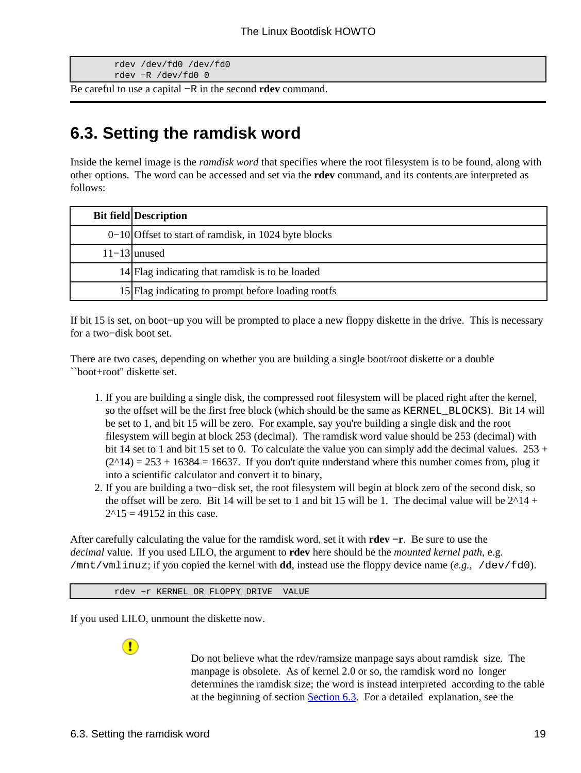rdev /dev/fd0 /dev/fd0 rdev −R /dev/fd0 0

<span id="page-21-0"></span>Be careful to use a capital −R in the second **rdev** command.

#### **6.3. Setting the ramdisk word**

Inside the kernel image is the *ramdisk word* that specifies where the root filesystem is to be found, along with other options. The word can be accessed and set via the **rdev** command, and its contents are interpreted as follows:

| <b>Bit field Description</b>                           |
|--------------------------------------------------------|
| $0-10$ Offset to start of ramdisk, in 1024 byte blocks |
| $11-13$ unused                                         |
| 14 Flag indicating that ramdisk is to be loaded        |
| 15 Flag indicating to prompt before loading rootfs     |

If bit 15 is set, on boot−up you will be prompted to place a new floppy diskette in the drive. This is necessary for a two−disk boot set.

There are two cases, depending on whether you are building a single boot/root diskette or a double ``boot+root'' diskette set.

- 1. If you are building a single disk, the compressed root filesystem will be placed right after the kernel, so the offset will be the first free block (which should be the same as KERNEL\_BLOCKS). Bit 14 will be set to 1, and bit 15 will be zero. For example, say you're building a single disk and the root filesystem will begin at block 253 (decimal). The ramdisk word value should be 253 (decimal) with bit 14 set to 1 and bit 15 set to 0. To calculate the value you can simply add the decimal values.  $253 +$  $(2<sup>14</sup>) = 253 + 16384 = 16637$ . If you don't quite understand where this number comes from, plug it into a scientific calculator and convert it to binary,
- 2. If you are building a two–disk set, the root filesystem will begin at block zero of the second disk, so the offset will be zero. Bit 14 will be set to 1 and bit 15 will be 1. The decimal value will be  $2^{\wedge}14$  +  $2^{4}15 = 49152$  in this case.

After carefully calculating the value for the ramdisk word, set it with **rdev −r**. Be sure to use the *decimal* value. If you used LILO, the argument to **rdev** here should be the *mounted kernel path*, e.g. /mnt/vmlinuz; if you copied the kernel with **dd**, instead use the floppy device name (*e.g.,* /dev/fd0).

rdev −r KERNEL\_OR\_FLOPPY\_DRIVE VALUE

If you used LILO, unmount the diskette now.

#### $\bf{T}$

Do not believe what the rdev/ramsize manpage says about ramdisk size. The manpage is obsolete. As of kernel 2.0 or so, the ramdisk word no longer determines the ramdisk size; the word is instead interpreted according to the table at the beginning of section Section 6.3. For a detailed explanation, see the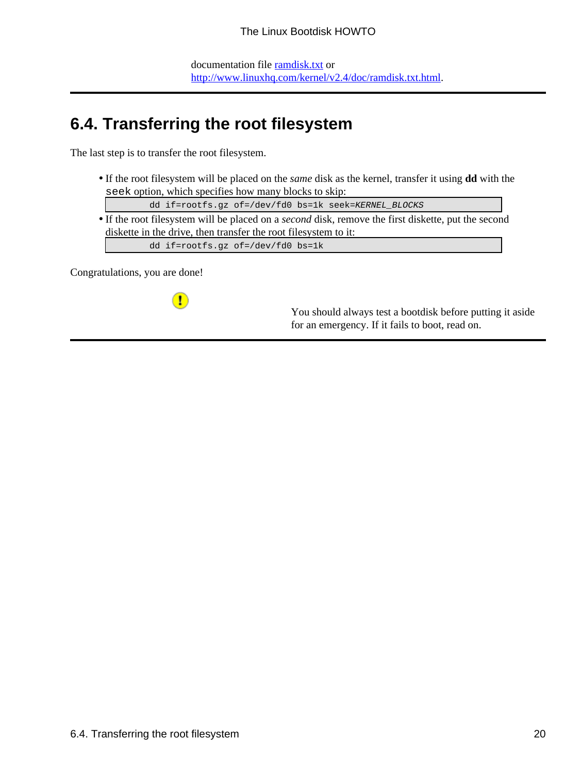documentation file<ramdisk.txt> or [http://www.linuxhq.com/kernel/v2.4/doc/ramdisk.txt.html.](http://www.linuxhq.com/kernel/v2.4/doc/ramdisk.txt.html)

### <span id="page-22-0"></span>**6.4. Transferring the root filesystem**

The last step is to transfer the root filesystem.

• If the root filesystem will be placed on the *same* disk as the kernel, transfer it using dd with the seek option, which specifies how many blocks to skip:

dd if=rootfs.gz of=/dev/fd0 bs=1k seek=KERNEL\_BLOCKS

• If the root filesystem will be placed on a *second* disk, remove the first diskette, put the second diskette in the drive, then transfer the root filesystem to it: dd if=rootfs.gz of=/dev/fd0 bs=1k

Congratulations, you are done!

 $\bigcirc$ 

You should always test a bootdisk before putting it aside for an emergency. If it fails to boot, read on.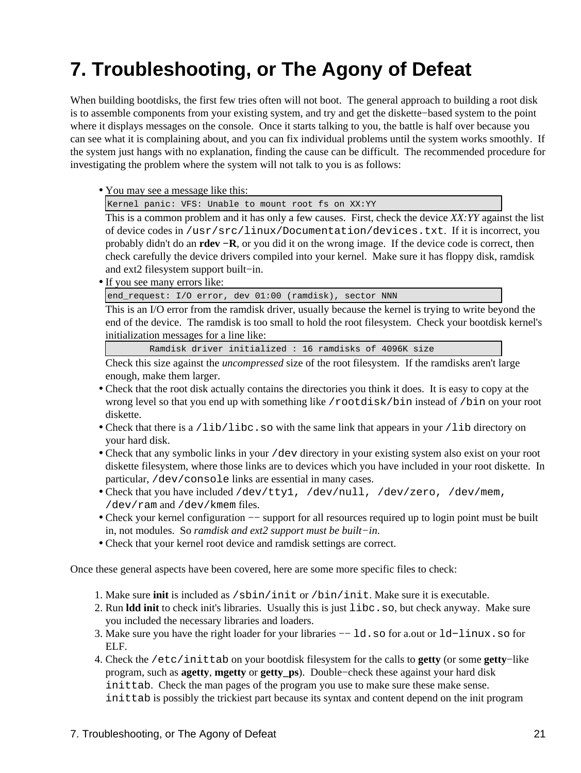# <span id="page-23-0"></span>**7. Troubleshooting, or The Agony of Defeat**

When building bootdisks, the first few tries often will not boot. The general approach to building a root disk is to assemble components from your existing system, and try and get the diskette−based system to the point where it displays messages on the console. Once it starts talking to you, the battle is half over because you can see what it is complaining about, and you can fix individual problems until the system works smoothly. If the system just hangs with no explanation, finding the cause can be difficult. The recommended procedure for investigating the problem where the system will not talk to you is as follows:

• You may see a message like this:

Kernel panic: VFS: Unable to mount root fs on XX:YY

This is a common problem and it has only a few causes. First, check the device *XX:YY* against the list of device codes in /usr/src/linux/Documentation/devices.txt. If it is incorrect, you probably didn't do an **rdev −R**, or you did it on the wrong image. If the device code is correct, then check carefully the device drivers compiled into your kernel. Make sure it has floppy disk, ramdisk and ext2 filesystem support built−in.

• If you see many errors like:

end\_request: I/O error, dev 01:00 (ramdisk), sector NNN

This is an I/O error from the ramdisk driver, usually because the kernel is trying to write beyond the end of the device. The ramdisk is too small to hold the root filesystem. Check your bootdisk kernel's initialization messages for a line like:

Ramdisk driver initialized : 16 ramdisks of 4096K size

Check this size against the *uncompressed* size of the root filesystem. If the ramdisks aren't large enough, make them larger.

- Check that the root disk actually contains the directories you think it does. It is easy to copy at the wrong level so that you end up with something like /rootdisk/bin instead of /bin on your root diskette.
- Check that there is a /lib/libc.so with the same link that appears in your /lib directory on your hard disk.
- Check that any symbolic links in your /dev directory in your existing system also exist on your root diskette filesystem, where those links are to devices which you have included in your root diskette. In particular, /dev/console links are essential in many cases.
- Check that you have included /dev/tty1, /dev/null, /dev/zero, /dev/mem, /dev/ram and /dev/kmem files.
- Check your kernel configuration -- support for all resources required up to login point must be built in, not modules. So *ramdisk and ext2 support must be built−in*.
- Check that your kernel root device and ramdisk settings are correct.

Once these general aspects have been covered, here are some more specific files to check:

- 1. Make sure **init** is included as /sbin/init or /bin/init. Make sure it is executable.
- 2. Run **ldd init** to check init's libraries. Usually this is just libc.so, but check anyway. Make sure you included the necessary libraries and loaders.
- Make sure you have the right loader for your libraries −− ld.so for a.out or ld−linux.so for 3. ELF.
- Check the /etc/inittab on your bootdisk filesystem for the calls to **getty** (or some **getty**−like 4. program, such as **agetty**, **mgetty** or **getty\_ps**). Double−check these against your hard disk inittab. Check the man pages of the program you use to make sure these make sense. inittab is possibly the trickiest part because its syntax and content depend on the init program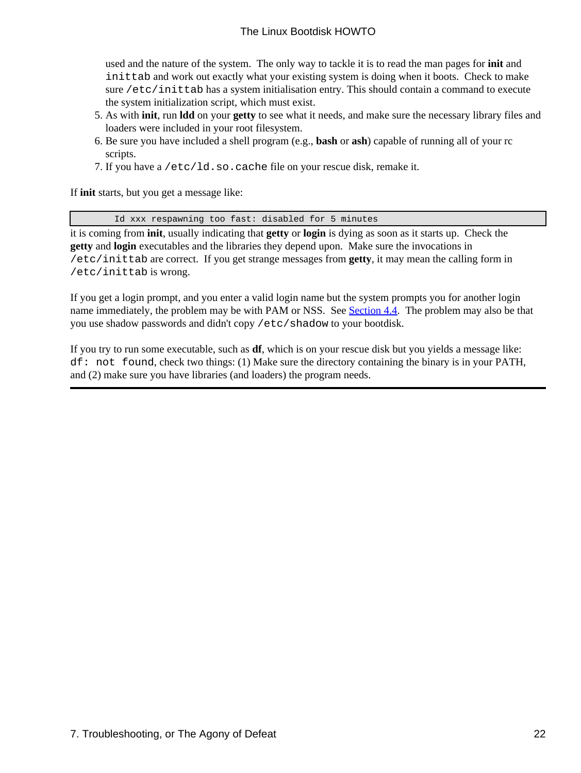used and the nature of the system. The only way to tackle it is to read the man pages for **init** and inittab and work out exactly what your existing system is doing when it boots. Check to make sure /etc/inittab has a system initialisation entry. This should contain a command to execute the system initialization script, which must exist.

- 5. As with *init*, run ldd on your getty to see what it needs, and make sure the necessary library files and loaders were included in your root filesystem.
- Be sure you have included a shell program (e.g., **bash** or **ash**) capable of running all of your rc 6. scripts.
- 7. If you have a /etc/ld.so.cache file on your rescue disk, remake it.

If **init** starts, but you get a message like:

Id xxx respawning too fast: disabled for 5 minutes

it is coming from **init**, usually indicating that **getty** or **login** is dying as soon as it starts up. Check the **getty** and **login** executables and the libraries they depend upon. Make sure the invocations in /etc/inittab are correct. If you get strange messages from **getty**, it may mean the calling form in /etc/inittab is wrong.

If you get a login prompt, and you enter a valid login name but the system prompts you for another login name immediately, the problem may be with PAM or NSS. See [Section 4.4.](#page-15-0) The problem may also be that you use shadow passwords and didn't copy /etc/shadow to your bootdisk.

If you try to run some executable, such as **df**, which is on your rescue disk but you yields a message like:  $df:$  not found, check two things: (1) Make sure the directory containing the binary is in your PATH, and (2) make sure you have libraries (and loaders) the program needs.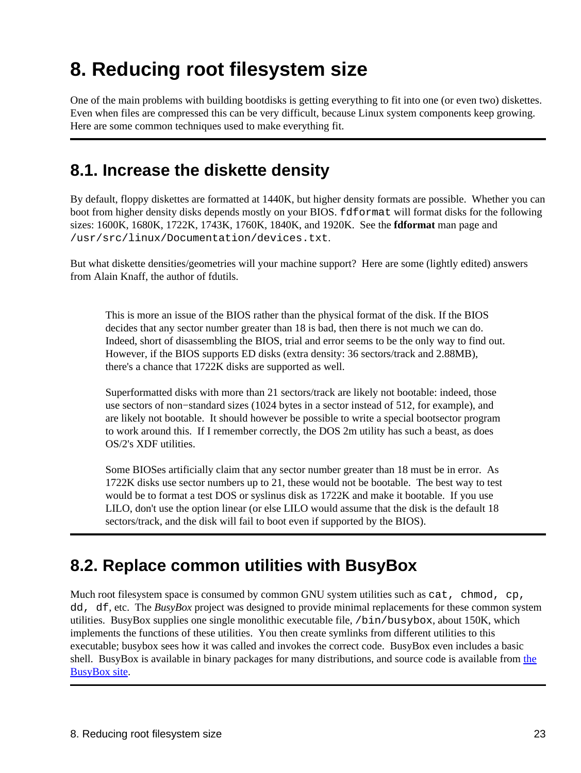## <span id="page-25-0"></span>**8. Reducing root filesystem size**

One of the main problems with building bootdisks is getting everything to fit into one (or even two) diskettes. Even when files are compressed this can be very difficult, because Linux system components keep growing. Here are some common techniques used to make everything fit.

#### **8.1. Increase the diskette density**

By default, floppy diskettes are formatted at 1440K, but higher density formats are possible. Whether you can boot from higher density disks depends mostly on your BIOS. fdformat will format disks for the following sizes: 1600K, 1680K, 1722K, 1743K, 1760K, 1840K, and 1920K. See the **fdformat** man page and /usr/src/linux/Documentation/devices.txt.

But what diskette densities/geometries will your machine support? Here are some (lightly edited) answers from Alain Knaff, the author of fdutils.

This is more an issue of the BIOS rather than the physical format of the disk. If the BIOS decides that any sector number greater than 18 is bad, then there is not much we can do. Indeed, short of disassembling the BIOS, trial and error seems to be the only way to find out. However, if the BIOS supports ED disks (extra density: 36 sectors/track and 2.88MB), there's a chance that 1722K disks are supported as well.

Superformatted disks with more than 21 sectors/track are likely not bootable: indeed, those use sectors of non−standard sizes (1024 bytes in a sector instead of 512, for example), and are likely not bootable. It should however be possible to write a special bootsector program to work around this. If I remember correctly, the DOS 2m utility has such a beast, as does OS/2's XDF utilities.

Some BIOSes artificially claim that any sector number greater than 18 must be in error. As 1722K disks use sector numbers up to 21, these would not be bootable. The best way to test would be to format a test DOS or syslinus disk as 1722K and make it bootable. If you use LILO, don't use the option linear (or else LILO would assume that the disk is the default 18 sectors/track, and the disk will fail to boot even if supported by the BIOS).

### **8.2. Replace common utilities with BusyBox**

Much root filesystem space is consumed by common GNU system utilities such as  $cat$ , chmod, cp, dd, df, etc. The *BusyBox* project was designed to provide minimal replacements for these common system utilities. BusyBox supplies one single monolithic executable file, /bin/busybox, about 150K, which implements the functions of these utilities. You then create symlinks from different utilities to this executable; busybox sees how it was called and invokes the correct code. BusyBox even includes a basic shell. BusyBox is available in binary packages for many distributions, and source code is available from [the](http://www.busybox.net/) [BusyBox site.](http://www.busybox.net/)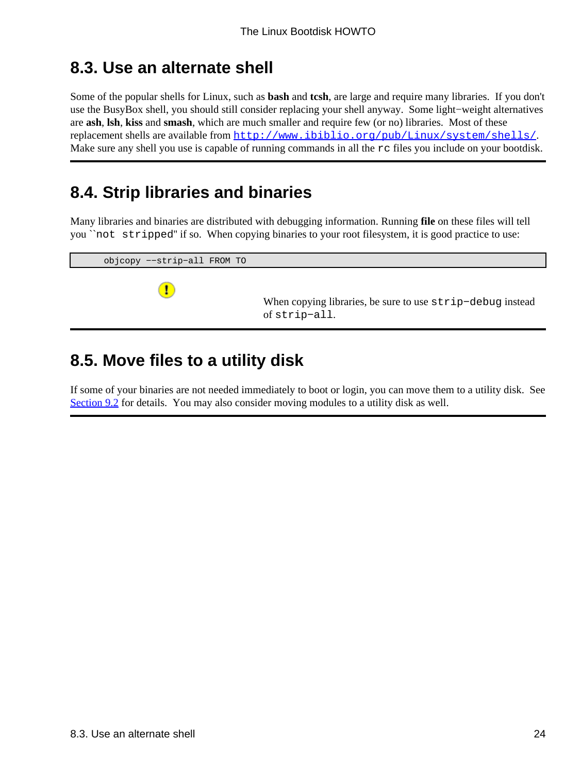### <span id="page-26-0"></span>**8.3. Use an alternate shell**

Some of the popular shells for Linux, such as **bash** and **tcsh**, are large and require many libraries. If you don't use the BusyBox shell, you should still consider replacing your shell anyway. Some light−weight alternatives are **ash**, **lsh**, **kiss** and **smash**, which are much smaller and require few (or no) libraries. Most of these replacement shells are available from <http://www.ibiblio.org/pub/Linux/system/shells/>. Make sure any shell you use is capable of running commands in all the rc files you include on your bootdisk.

### **8.4. Strip libraries and binaries**

Many libraries and binaries are distributed with debugging information. Running **file** on these files will tell you ``not stripped'' if so. When copying binaries to your root filesystem, it is good practice to use:

objcopy −−strip−all FROM TO

T

When copying libraries, be sure to use strip−debug instead of strip−all.

#### **8.5. Move files to a utility disk**

If some of your binaries are not needed immediately to boot or login, you can move them to a utility disk. See [Section 9.2](#page-27-0) for details. You may also consider moving modules to a utility disk as well.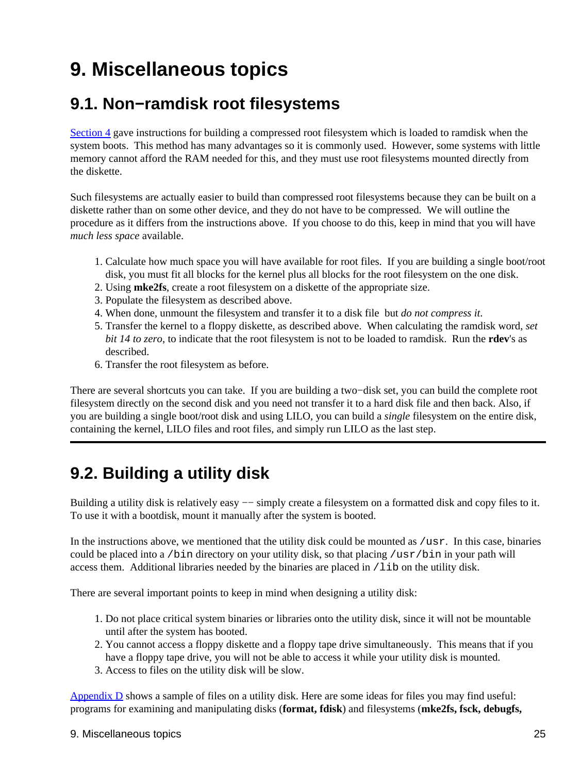### <span id="page-27-0"></span>**9. Miscellaneous topics**

### **9.1. Non−ramdisk root filesystems**

[Section 4](#page-9-0) gave instructions for building a compressed root filesystem which is loaded to ramdisk when the system boots. This method has many advantages so it is commonly used. However, some systems with little memory cannot afford the RAM needed for this, and they must use root filesystems mounted directly from the diskette.

Such filesystems are actually easier to build than compressed root filesystems because they can be built on a diskette rather than on some other device, and they do not have to be compressed. We will outline the procedure as it differs from the instructions above. If you choose to do this, keep in mind that you will have *much less space* available.

- 1. Calculate how much space you will have available for root files. If you are building a single boot/root disk, you must fit all blocks for the kernel plus all blocks for the root filesystem on the one disk.
- 2. Using **mke2fs**, create a root filesystem on a diskette of the appropriate size.
- 3. Populate the filesystem as described above.
- 4. When done, unmount the filesystem and transfer it to a disk file but *do not compress it*.
- 5. Transfer the kernel to a floppy diskette, as described above. When calculating the ramdisk word, set *bit 14 to zero*, to indicate that the root filesystem is not to be loaded to ramdisk. Run the **rdev**'s as described.
- 6. Transfer the root filesystem as before.

There are several shortcuts you can take. If you are building a two−disk set, you can build the complete root filesystem directly on the second disk and you need not transfer it to a hard disk file and then back. Also, if you are building a single boot/root disk and using LILO, you can build a *single* filesystem on the entire disk, containing the kernel, LILO files and root files, and simply run LILO as the last step.

### **9.2. Building a utility disk**

Building a utility disk is relatively easy −− simply create a filesystem on a formatted disk and copy files to it. To use it with a bootdisk, mount it manually after the system is booted.

In the instructions above, we mentioned that the utility disk could be mounted as /usr. In this case, binaries could be placed into a /bin directory on your utility disk, so that placing /usr/bin in your path will access them. Additional libraries needed by the binaries are placed in  $/$ lib on the utility disk.

There are several important points to keep in mind when designing a utility disk:

- 1. Do not place critical system binaries or libraries onto the utility disk, since it will not be mountable until after the system has booted.
- 2. You cannot access a floppy diskette and a floppy tape drive simultaneously. This means that if you have a floppy tape drive, you will not be able to access it while your utility disk is mounted.
- 3. Access to files on the utility disk will be slow.

[Appendix D](#page-51-0) shows a sample of files on a utility disk. Here are some ideas for files you may find useful: programs for examining and manipulating disks (**format, fdisk**) and filesystems (**mke2fs, fsck, debugfs,**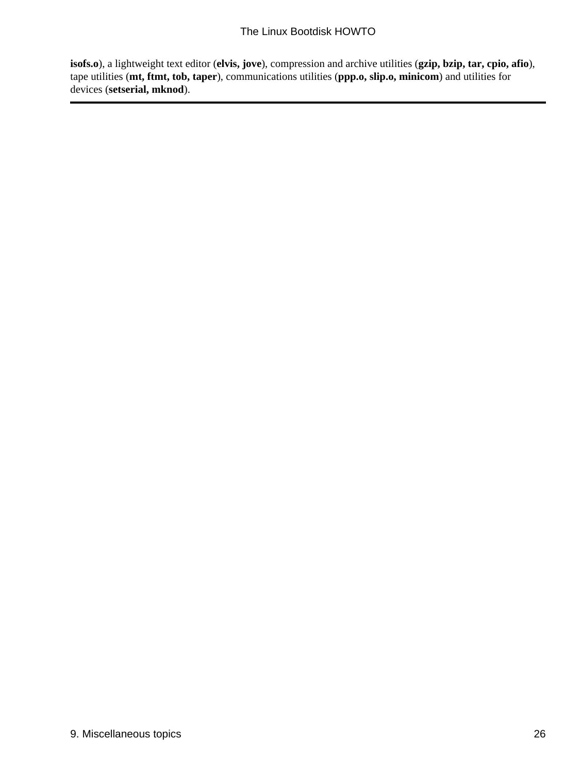**isofs.o**), a lightweight text editor (**elvis, jove**), compression and archive utilities (**gzip, bzip, tar, cpio, afio**), tape utilities (**mt, ftmt, tob, taper**), communications utilities (**ppp.o, slip.o, minicom**) and utilities for devices (**setserial, mknod**).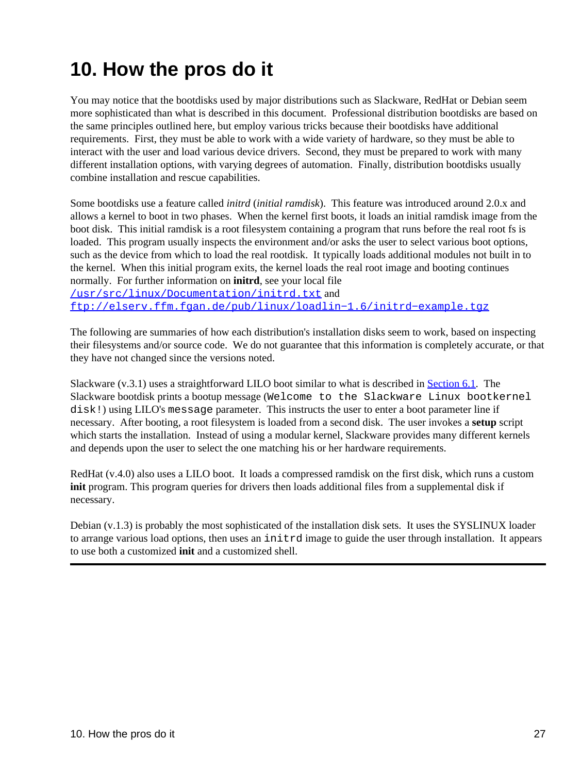### <span id="page-29-0"></span>**10. How the pros do it**

You may notice that the bootdisks used by major distributions such as Slackware, RedHat or Debian seem more sophisticated than what is described in this document. Professional distribution bootdisks are based on the same principles outlined here, but employ various tricks because their bootdisks have additional requirements. First, they must be able to work with a wide variety of hardware, so they must be able to interact with the user and load various device drivers. Second, they must be prepared to work with many different installation options, with varying degrees of automation. Finally, distribution bootdisks usually combine installation and rescue capabilities.

Some bootdisks use a feature called *initrd* (*initial ramdisk*). This feature was introduced around 2.0.x and allows a kernel to boot in two phases. When the kernel first boots, it loads an initial ramdisk image from the boot disk. This initial ramdisk is a root filesystem containing a program that runs before the real root fs is loaded. This program usually inspects the environment and/or asks the user to select various boot options, such as the device from which to load the real rootdisk. It typically loads additional modules not built in to the kernel. When this initial program exits, the kernel loads the real root image and booting continues normally. For further information on **initrd**, see your local file [/usr/src/linux/Documentation/initrd.txt](initrd.txt) and [ftp://elserv.ffm.fgan.de/pub/linux/loadlin−1.6/initrd−example.tgz](ftp://elserv.ffm.fgan.de/pub/linux/loadlin-1.6/initrd-example.tgz)

The following are summaries of how each distribution's installation disks seem to work, based on inspecting their filesystems and/or source code. We do not guarantee that this information is completely accurate, or that they have not changed since the versions noted.

Slackware (v.3.1) uses a straightforward LILO boot similar to what is described in [Section 6.1](#page-19-0). The Slackware bootdisk prints a bootup message (Welcome to the Slackware Linux bootkernel disk!) using LILO's message parameter. This instructs the user to enter a boot parameter line if necessary. After booting, a root filesystem is loaded from a second disk. The user invokes a **setup** script which starts the installation. Instead of using a modular kernel, Slackware provides many different kernels and depends upon the user to select the one matching his or her hardware requirements.

RedHat (v.4.0) also uses a LILO boot. It loads a compressed ramdisk on the first disk, which runs a custom **init** program. This program queries for drivers then loads additional files from a supplemental disk if necessary.

Debian (v.1.3) is probably the most sophisticated of the installation disk sets. It uses the SYSLINUX loader to arrange various load options, then uses an initrd image to guide the user through installation. It appears to use both a customized **init** and a customized shell.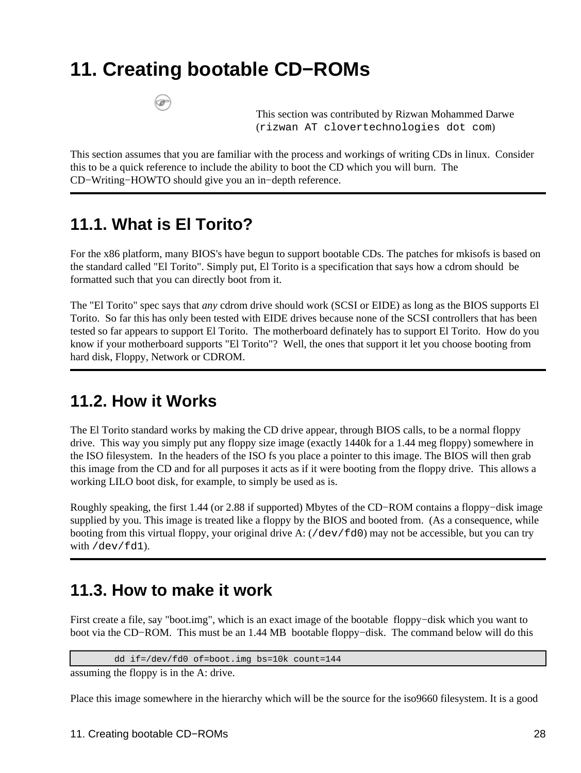### <span id="page-30-0"></span>**11. Creating bootable CD−ROMs**

This section was contributed by Rizwan Mohammed Darwe (rizwan AT clovertechnologies dot com)

This section assumes that you are familiar with the process and workings of writing CDs in linux. Consider this to be a quick reference to include the ability to boot the CD which you will burn. The CD−Writing−HOWTO should give you an in−depth reference.

#### **11.1. What is El Torito?**

For the x86 platform, many BIOS's have begun to support bootable CDs. The patches for mkisofs is based on the standard called "El Torito". Simply put, El Torito is a specification that says how a cdrom should be formatted such that you can directly boot from it.

The "El Torito" spec says that *any* cdrom drive should work (SCSI or EIDE) as long as the BIOS supports El Torito. So far this has only been tested with EIDE drives because none of the SCSI controllers that has been tested so far appears to support El Torito. The motherboard definately has to support El Torito. How do you know if your motherboard supports "El Torito"? Well, the ones that support it let you choose booting from hard disk, Floppy, Network or CDROM.

#### **11.2. How it Works**

The El Torito standard works by making the CD drive appear, through BIOS calls, to be a normal floppy drive. This way you simply put any floppy size image (exactly 1440k for a 1.44 meg floppy) somewhere in the ISO filesystem. In the headers of the ISO fs you place a pointer to this image. The BIOS will then grab this image from the CD and for all purposes it acts as if it were booting from the floppy drive. This allows a working LILO boot disk, for example, to simply be used as is.

Roughly speaking, the first 1.44 (or 2.88 if supported) Mbytes of the CD−ROM contains a floppy−disk image supplied by you. This image is treated like a floppy by the BIOS and booted from. (As a consequence, while booting from this virtual floppy, your original drive A: (/dev/fd0) may not be accessible, but you can try with /dev/fd1).

#### **11.3. How to make it work**

First create a file, say "boot.img", which is an exact image of the bootable floppy−disk which you want to boot via the CD−ROM. This must be an 1.44 MB bootable floppy−disk. The command below will do this

```
 dd if=/dev/fd0 of=boot.img bs=10k count=144
```
assuming the floppy is in the A: drive.

Place this image somewhere in the hierarchy which will be the source for the iso9660 filesystem. It is a good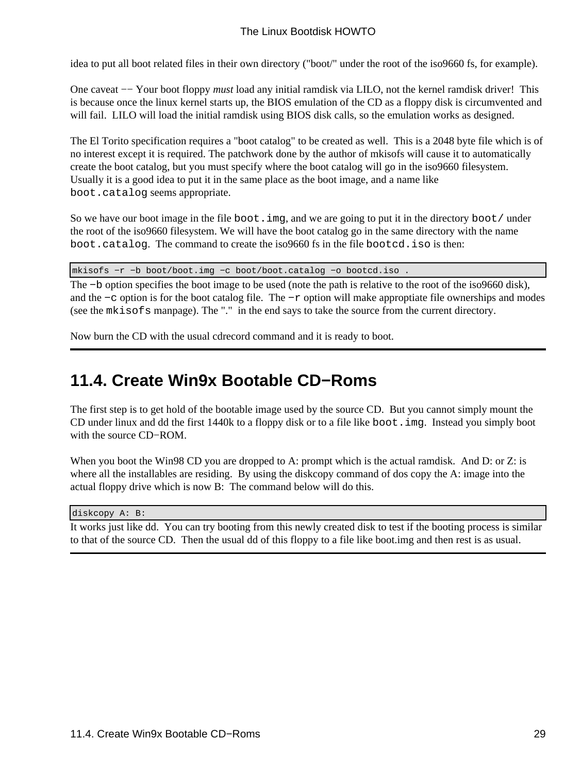<span id="page-31-0"></span>idea to put all boot related files in their own directory ("boot/" under the root of the iso9660 fs, for example).

One caveat −− Your boot floppy *must* load any initial ramdisk via LILO, not the kernel ramdisk driver! This is because once the linux kernel starts up, the BIOS emulation of the CD as a floppy disk is circumvented and will fail. LILO will load the initial ramdisk using BIOS disk calls, so the emulation works as designed.

The El Torito specification requires a "boot catalog" to be created as well. This is a 2048 byte file which is of no interest except it is required. The patchwork done by the author of mkisofs will cause it to automatically create the boot catalog, but you must specify where the boot catalog will go in the iso9660 filesystem. Usually it is a good idea to put it in the same place as the boot image, and a name like boot.catalog seems appropriate.

So we have our boot image in the file boot.img, and we are going to put it in the directory boot/ under the root of the iso9660 filesystem. We will have the boot catalog go in the same directory with the name boot.catalog. The command to create the iso9660 fs in the file bootcd.iso is then:

mkisofs −r −b boot/boot.img −c boot/boot.catalog −o bootcd.iso .

The -b option specifies the boot image to be used (note the path is relative to the root of the iso9660 disk), and the −c option is for the boot catalog file. The −r option will make approptiate file ownerships and modes (see the mkisofs manpage). The "." in the end says to take the source from the current directory.

Now burn the CD with the usual cdrecord command and it is ready to boot.

#### **11.4. Create Win9x Bootable CD−Roms**

The first step is to get hold of the bootable image used by the source CD. But you cannot simply mount the CD under linux and dd the first 1440k to a floppy disk or to a file like boot.img. Instead you simply boot with the source CD−ROM.

When you boot the Win98 CD you are dropped to A: prompt which is the actual ramdisk. And D: or Z: is where all the installables are residing. By using the diskcopy command of dos copy the A: image into the actual floppy drive which is now B: The command below will do this.

diskcopy A: B:

It works just like dd. You can try booting from this newly created disk to test if the booting process is similar to that of the source CD. Then the usual dd of this floppy to a file like boot.img and then rest is as usual.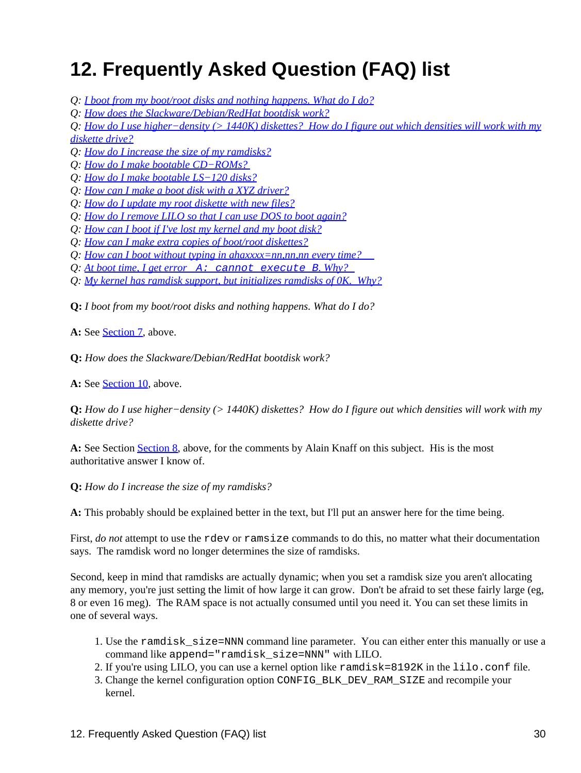## <span id="page-32-0"></span>**12. Frequently Asked Question (FAQ) list**

- *Q: I boot from my boot/root disks and nothing happens. What do I do?*
- *Q: How does the Slackware/Debian/RedHat bootdisk work?*

*Q: How do I use higher−density (> 1440K) diskettes? How do I figure out which densities will work with my diskette drive?*

- *Q: How do I increase the size of my ramdisks?*
- *Q: [How do I make bootable CD−ROMs?](#page-33-0)*
- *Q: [How do I make bootable LS−120 disks?](#page-33-0)*
- *Q: [How can I make a boot disk with a XYZ driver?](#page-33-0)*
- *Q: [How do I update my root diskette with new files?](#page-34-0)*
- *Q: [How do I remove LILO so that I can use DOS to boot again?](#page-34-0)*
- *Q: [How can I boot if I've lost my kernel and my boot disk?](#page-34-0)*
- *Q: [How can I make extra copies of boot/root diskettes?](#page-35-0)*
- *Q: [How can I boot without typing in ahaxxxx=nn,nn,nn every time?](#page-35-0)*
- *Q: At boot time, I get error*  [A: cannot execute B](#page-36-0)*. Why?*
- *Q: [My kernel has ramdisk support, but initializes ramdisks of 0K. Why?](#page-36-0)*

**Q:** *I boot from my boot/root disks and nothing happens. What do I do?*

A: See [Section 7](#page-23-0), above.

**Q:** *How does the Slackware/Debian/RedHat bootdisk work?*

A: See **Section 10**, above.

**Q:** *How do I use higher−density (> 1440K) diskettes? How do I figure out which densities will work with my diskette drive?*

**A:** See Section [Section 8,](#page-25-0) above, for the comments by Alain Knaff on this subject. His is the most authoritative answer I know of.

**Q:** *How do I increase the size of my ramdisks?*

**A:** This probably should be explained better in the text, but I'll put an answer here for the time being.

First, *do not* attempt to use the rdev or ramsize commands to do this, no matter what their documentation says. The ramdisk word no longer determines the size of ramdisks.

Second, keep in mind that ramdisks are actually dynamic; when you set a ramdisk size you aren't allocating any memory, you're just setting the limit of how large it can grow. Don't be afraid to set these fairly large (eg, 8 or even 16 meg). The RAM space is not actually consumed until you need it. You can set these limits in one of several ways.

- 1. Use the ramdisk\_size=NNN command line parameter. You can either enter this manually or use a command like append="ramdisk\_size=NNN" with LILO.
- 2. If you're using LILO, you can use a kernel option like ramdisk=8192K in the lilo.conf file.
- 3. Change the kernel configuration option CONFIG\_BLK\_DEV\_RAM\_SIZE and recompile your kernel.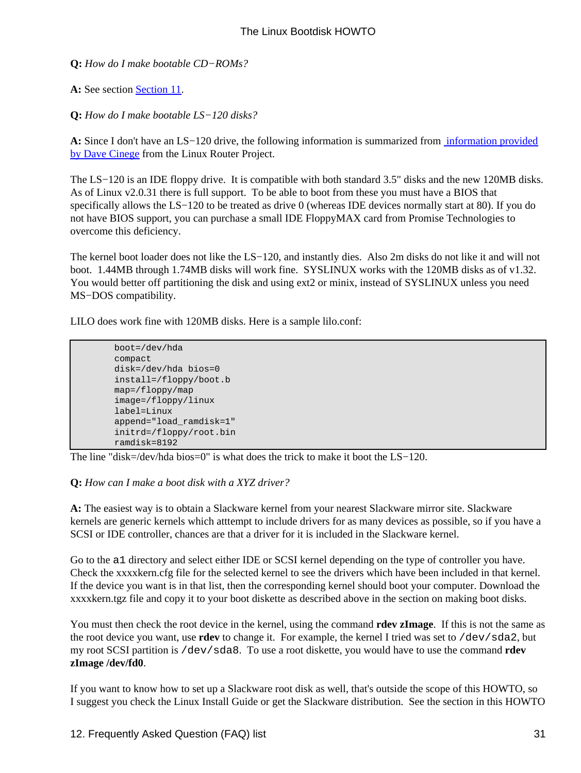<span id="page-33-0"></span>**Q:** *How do I make bootable CD−ROMs?* 

A: See section [Section 11.](#page-30-0)

**Q:** *How do I make bootable LS−120 disks?*

**A:** Since I don't have an LS−120 drive, the following information is summarized from [information provided](http://www.linuxrouter.org/floppy.shtml) [by Dave Cinege](http://www.linuxrouter.org/floppy.shtml) from the Linux Router Project.

The LS−120 is an IDE floppy drive. It is compatible with both standard 3.5" disks and the new 120MB disks. As of Linux v2.0.31 there is full support. To be able to boot from these you must have a BIOS that specifically allows the LS−120 to be treated as drive 0 (whereas IDE devices normally start at 80). If you do not have BIOS support, you can purchase a small IDE FloppyMAX card from Promise Technologies to overcome this deficiency.

The kernel boot loader does not like the LS−120, and instantly dies. Also 2m disks do not like it and will not boot. 1.44MB through 1.74MB disks will work fine. SYSLINUX works with the 120MB disks as of v1.32. You would better off partitioning the disk and using ext2 or minix, instead of SYSLINUX unless you need MS−DOS compatibility.

LILO does work fine with 120MB disks. Here is a sample lilo.conf:

```
 boot=/dev/hda
 compact
 disk=/dev/hda bios=0
 install=/floppy/boot.b
 map=/floppy/map
 image=/floppy/linux
 label=Linux
 append="load_ramdisk=1"
 initrd=/floppy/root.bin
 ramdisk=8192
```
The line "disk=/dev/hda bios=0" is what does the trick to make it boot the LS−120.

**Q:** *How can I make a boot disk with a XYZ driver?*

**A:** The easiest way is to obtain a Slackware kernel from your nearest Slackware mirror site. Slackware kernels are generic kernels which atttempt to include drivers for as many devices as possible, so if you have a SCSI or IDE controller, chances are that a driver for it is included in the Slackware kernel.

Go to the a1 directory and select either IDE or SCSI kernel depending on the type of controller you have. Check the xxxxkern.cfg file for the selected kernel to see the drivers which have been included in that kernel. If the device you want is in that list, then the corresponding kernel should boot your computer. Download the xxxxkern.tgz file and copy it to your boot diskette as described above in the section on making boot disks.

You must then check the root device in the kernel, using the command **rdev zImage**. If this is not the same as the root device you want, use **rdev** to change it. For example, the kernel I tried was set to /dev/sda2, but my root SCSI partition is /dev/sda8. To use a root diskette, you would have to use the command **rdev zImage /dev/fd0**.

If you want to know how to set up a Slackware root disk as well, that's outside the scope of this HOWTO, so I suggest you check the Linux Install Guide or get the Slackware distribution. See the section in this HOWTO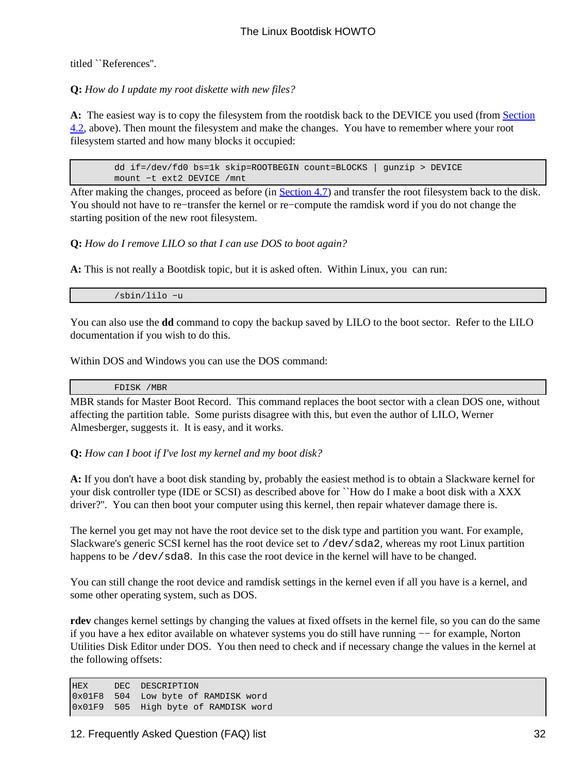<span id="page-34-0"></span>titled ``References''.

**Q:** *How do I update my root diskette with new files?*

**A:** The easiest way is to copy the filesystem from the rootdisk back to the DEVICE you used (from [Section](#page-9-0) [4.2,](#page-9-0) above). Then mount the filesystem and make the changes. You have to remember where your root filesystem started and how many blocks it occupied:

 dd if=/dev/fd0 bs=1k skip=ROOTBEGIN count=BLOCKS | gunzip > DEVICE mount −t ext2 DEVICE /mnt

After making the changes, proceed as before (in [Section 4.7\)](#page-17-0) and transfer the root filesystem back to the disk. You should not have to re−transfer the kernel or re−compute the ramdisk word if you do not change the starting position of the new root filesystem.

**Q:** *How do I remove LILO so that I can use DOS to boot again?*

**A:** This is not really a Bootdisk topic, but it is asked often. Within Linux, you can run:

/sbin/lilo −u

You can also use the **dd** command to copy the backup saved by LILO to the boot sector. Refer to the LILO documentation if you wish to do this.

Within DOS and Windows you can use the DOS command:

FDISK /MBR

MBR stands for Master Boot Record. This command replaces the boot sector with a clean DOS one, without affecting the partition table. Some purists disagree with this, but even the author of LILO, Werner Almesberger, suggests it. It is easy, and it works.

**Q:** *How can I boot if I've lost my kernel and my boot disk?*

**A:** If you don't have a boot disk standing by, probably the easiest method is to obtain a Slackware kernel for your disk controller type (IDE or SCSI) as described above for ``How do I make a boot disk with a XXX driver?''. You can then boot your computer using this kernel, then repair whatever damage there is.

The kernel you get may not have the root device set to the disk type and partition you want. For example, Slackware's generic SCSI kernel has the root device set to /dev/sda2, whereas my root Linux partition happens to be /dev/sda8. In this case the root device in the kernel will have to be changed.

You can still change the root device and ramdisk settings in the kernel even if all you have is a kernel, and some other operating system, such as DOS.

**rdev** changes kernel settings by changing the values at fixed offsets in the kernel file, so you can do the same if you have a hex editor available on whatever systems you do still have running −− for example, Norton Utilities Disk Editor under DOS. You then need to check and if necessary change the values in the kernel at the following offsets:

HEX DEC DESCRIPTION 0x01F8 504 Low byte of RAMDISK word 0x01F9 505 High byte of RAMDISK word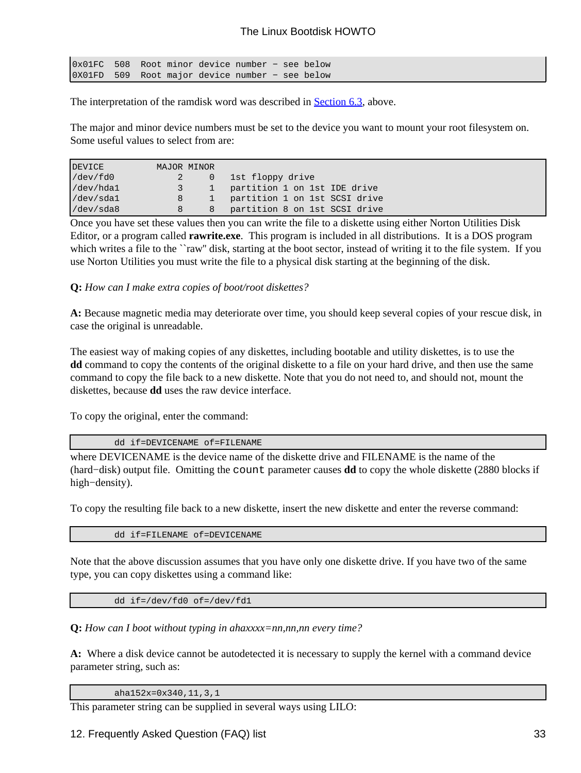<span id="page-35-0"></span>0x01FC 508 Root minor device number − see below 0X01FD 509 Root major device number − see below

The interpretation of the ramdisk word was described in **[Section 6.3](#page-21-0)**, above.

The major and minor device numbers must be set to the device you want to mount your root filesystem on. Some useful values to select from are:

| DEVICE                    | MAJOR MINOR |       |                               |
|---------------------------|-------------|-------|-------------------------------|
| /dev/fd0                  |             | - 0 - | 1st floppy drive              |
| /dev/hda1                 |             |       | partition 1 on 1st IDE drive  |
| $/\text{dev}/\text{sdal}$ |             |       | partition 1 on 1st SCSI drive |
| $/\text{dev/sda8}$        |             | 8     | partition 8 on 1st SCSI drive |

Once you have set these values then you can write the file to a diskette using either Norton Utilities Disk Editor, or a program called **rawrite.exe**. This program is included in all distributions. It is a DOS program which writes a file to the ``raw" disk, starting at the boot sector, instead of writing it to the file system. If you use Norton Utilities you must write the file to a physical disk starting at the beginning of the disk.

#### **Q:** *How can I make extra copies of boot/root diskettes?*

**A:** Because magnetic media may deteriorate over time, you should keep several copies of your rescue disk, in case the original is unreadable.

The easiest way of making copies of any diskettes, including bootable and utility diskettes, is to use the **dd** command to copy the contents of the original diskette to a file on your hard drive, and then use the same command to copy the file back to a new diskette. Note that you do not need to, and should not, mount the diskettes, because **dd** uses the raw device interface.

To copy the original, enter the command:

#### dd if=DEVICENAME of=FILENAME

where DEVICENAME is the device name of the diskette drive and FILENAME is the name of the (hard−disk) output file. Omitting the count parameter causes **dd** to copy the whole diskette (2880 blocks if high−density).

To copy the resulting file back to a new diskette, insert the new diskette and enter the reverse command:

#### dd if=FILENAME of=DEVICENAME

Note that the above discussion assumes that you have only one diskette drive. If you have two of the same type, you can copy diskettes using a command like:

dd if=/dev/fd0 of=/dev/fd1

**Q:** *How can I boot without typing in ahaxxxx=nn,nn,nn every time?*

**A:** Where a disk device cannot be autodetected it is necessary to supply the kernel with a command device parameter string, such as:

aha152x=0x340,11,3,1

This parameter string can be supplied in several ways using LILO: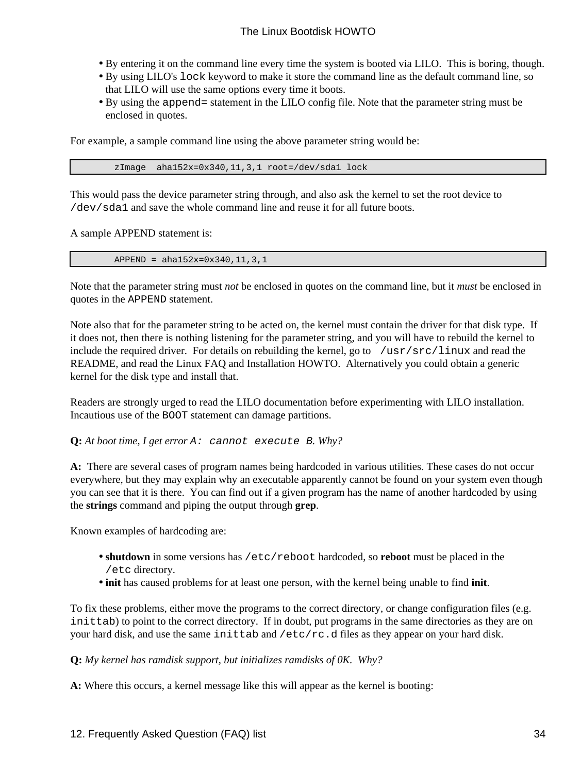- <span id="page-36-0"></span>• By entering it on the command line every time the system is booted via LILO. This is boring, though.
- By using LILO's lock keyword to make it store the command line as the default command line, so that LILO will use the same options every time it boots.
- By using the append= statement in the LILO config file. Note that the parameter string must be enclosed in quotes.

For example, a sample command line using the above parameter string would be:

zImage aha152x=0x340,11,3,1 root=/dev/sda1 lock

This would pass the device parameter string through, and also ask the kernel to set the root device to /dev/sda1 and save the whole command line and reuse it for all future boots.

A sample APPEND statement is:

 $APPEND = \text{ahal}52x = 0x340, 11, 3, 1$ 

Note that the parameter string must *not* be enclosed in quotes on the command line, but it *must* be enclosed in quotes in the APPEND statement.

Note also that for the parameter string to be acted on, the kernel must contain the driver for that disk type. If it does not, then there is nothing listening for the parameter string, and you will have to rebuild the kernel to include the required driver. For details on rebuilding the kernel, go to  $/usr/src/linx$  and read the README, and read the Linux FAQ and Installation HOWTO. Alternatively you could obtain a generic kernel for the disk type and install that.

Readers are strongly urged to read the LILO documentation before experimenting with LILO installation. Incautious use of the BOOT statement can damage partitions.

**Q:** *At boot time, I get error* A: cannot execute B*. Why?*

**A:** There are several cases of program names being hardcoded in various utilities. These cases do not occur everywhere, but they may explain why an executable apparently cannot be found on your system even though you can see that it is there. You can find out if a given program has the name of another hardcoded by using the **strings** command and piping the output through **grep**.

Known examples of hardcoding are:

- **shutdown** in some versions has /etc/reboot hardcoded, so **reboot** must be placed in the /etc directory.
- **init** has caused problems for at least one person, with the kernel being unable to find **init**.

To fix these problems, either move the programs to the correct directory, or change configuration files (e.g. inittab) to point to the correct directory. If in doubt, put programs in the same directories as they are on your hard disk, and use the same inittab and /etc/rc.d files as they appear on your hard disk.

**Q:** *My kernel has ramdisk support, but initializes ramdisks of 0K. Why?*

**A:** Where this occurs, a kernel message like this will appear as the kernel is booting: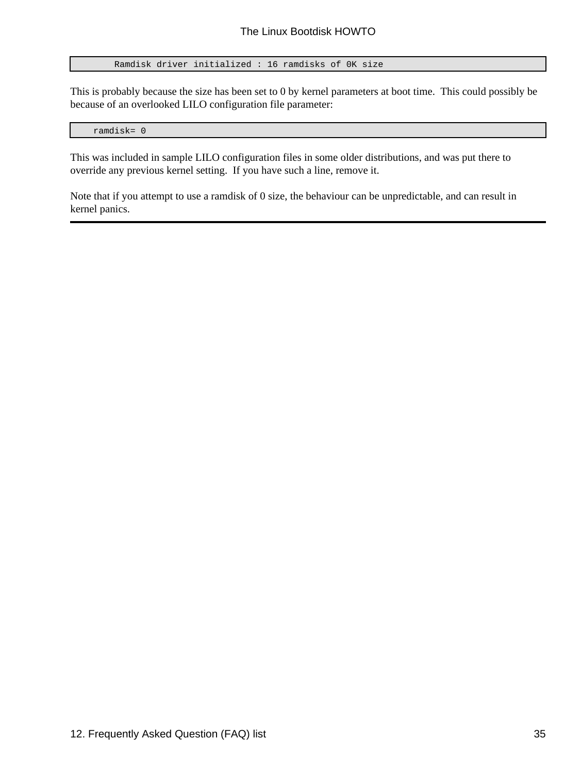Ramdisk driver initialized : 16 ramdisks of 0K size

This is probably because the size has been set to 0 by kernel parameters at boot time. This could possibly be because of an overlooked LILO configuration file parameter:

ramdisk= 0

This was included in sample LILO configuration files in some older distributions, and was put there to override any previous kernel setting. If you have such a line, remove it.

Note that if you attempt to use a ramdisk of 0 size, the behaviour can be unpredictable, and can result in kernel panics.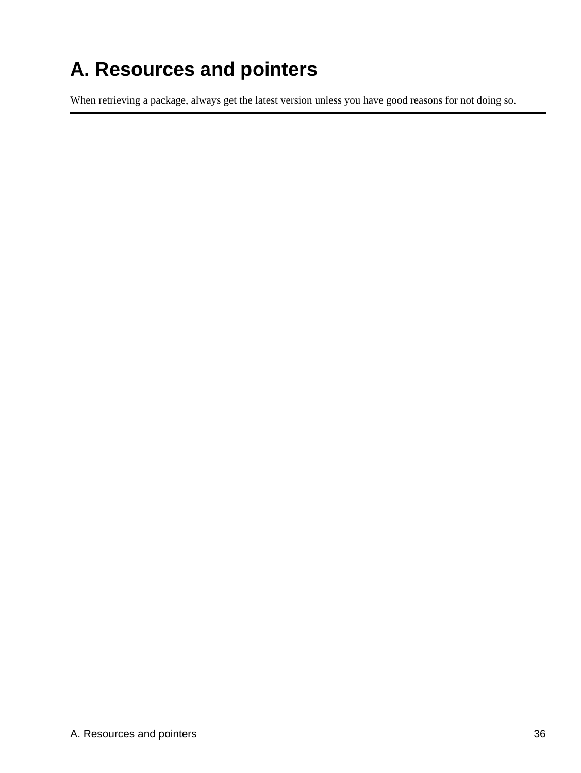# <span id="page-38-0"></span>**A. Resources and pointers**

When retrieving a package, always get the latest version unless you have good reasons for not doing so.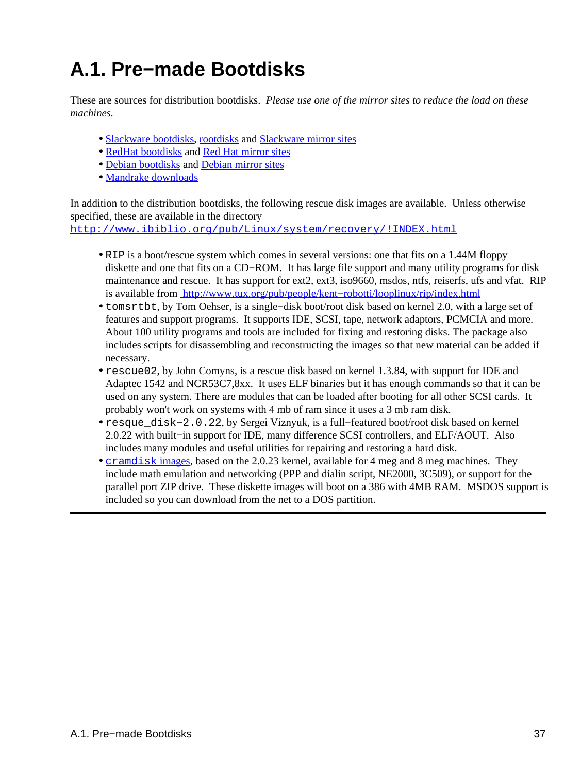## <span id="page-39-0"></span>**A.1. Pre−made Bootdisks**

These are sources for distribution bootdisks. *Please use one of the mirror sites to reduce the load on these machines.*

- [Slackware bootdisks,](http://distro.ibiblio.org/pub/Linux/distributions/slackware/bootdsks.144/) [rootdisks](http://distro.ibiblio.org/pub/Linux/distributions/slackware/rootdsks/) and [Slackware mirror sites](http://www.slackware.com/getslack/)
- [RedHat bootdisks](ftp://ftp.redhat.com/pub/redhat/linux/current/en/os/i386/images/) and [Red Hat mirror sites](http://www.redhat.com/mirrors.html)
- [Debian bootdisks](ftp://ftp.debian.org/debian/dists/stable/main/disks-i386/current/) and [Debian mirror sites](ftp://ftp.debian.org/debian/README.mirrors.html)
- [Mandrake downloads](http://www.linux-mandrake.com/en/ftp.php3)

In addition to the distribution bootdisks, the following rescue disk images are available. Unless otherwise specified, these are available in the directory

<http://www.ibiblio.org/pub/Linux/system/recovery/!INDEX.html>

- RIP is a boot/rescue system which comes in several versions: one that fits on a 1.44M floppy diskette and one that fits on a CD−ROM. It has large file support and many utility programs for disk maintenance and rescue. It has support for ext2, ext3, iso9660, msdos, ntfs, reiserfs, ufs and vfat. RIP is available from [http://www.tux.org/pub/people/kent−robotti/looplinux/rip/index.html](http://www.tux.org/pub/people/kent-robotti/looplinux/rip/index.html)
- tomsrtbt, by Tom Oehser, is a single−disk boot/root disk based on kernel 2.0, with a large set of features and support programs. It supports IDE, SCSI, tape, network adaptors, PCMCIA and more. About 100 utility programs and tools are included for fixing and restoring disks. The package also includes scripts for disassembling and reconstructing the images so that new material can be added if necessary.
- rescue02, by John Comyns, is a rescue disk based on kernel 1.3.84, with support for IDE and Adaptec 1542 and NCR53C7,8xx. It uses ELF binaries but it has enough commands so that it can be used on any system. There are modules that can be loaded after booting for all other SCSI cards. It probably won't work on systems with 4 mb of ram since it uses a 3 mb ram disk.
- resque\_disk−2.0.22, by Sergei Viznyuk, is a full−featured boot/root disk based on kernel 2.0.22 with built−in support for IDE, many difference SCSI controllers, and ELF/AOUT. Also includes many modules and useful utilities for repairing and restoring a hard disk.
- [cramdisk](http://www.ibiblio.org/pub/Linux/system/recovery/images) images, based on the 2.0.23 kernel, available for 4 meg and 8 meg machines. They include math emulation and networking (PPP and dialin script, NE2000, 3C509), or support for the parallel port ZIP drive. These diskette images will boot on a 386 with 4MB RAM. MSDOS support is included so you can download from the net to a DOS partition.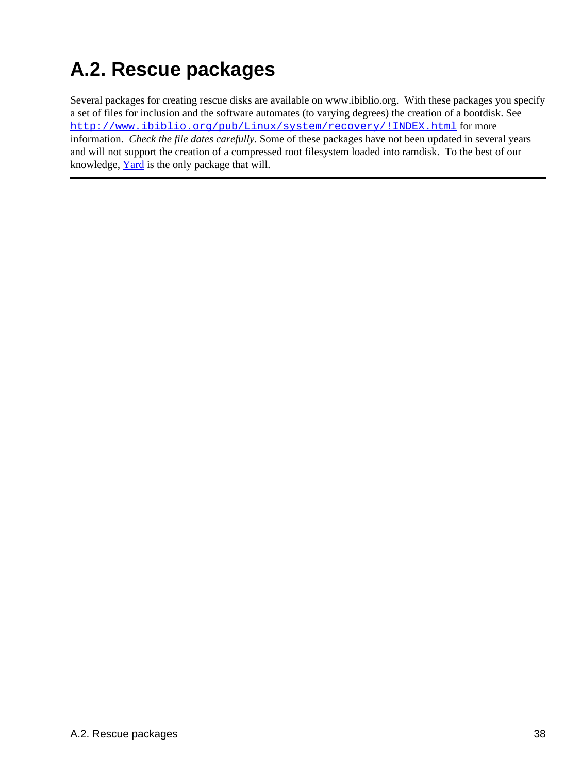# <span id="page-40-0"></span>**A.2. Rescue packages**

Several packages for creating rescue disks are available on www.ibiblio.org. With these packages you specify a set of files for inclusion and the software automates (to varying degrees) the creation of a bootdisk. See <http://www.ibiblio.org/pub/Linux/system/recovery/!INDEX.html> for more information. *Check the file dates carefully*. Some of these packages have not been updated in several years and will not support the creation of a compressed root filesystem loaded into ramdisk. To the best of our knowledge,  $Yard$  is the only package that will.</u>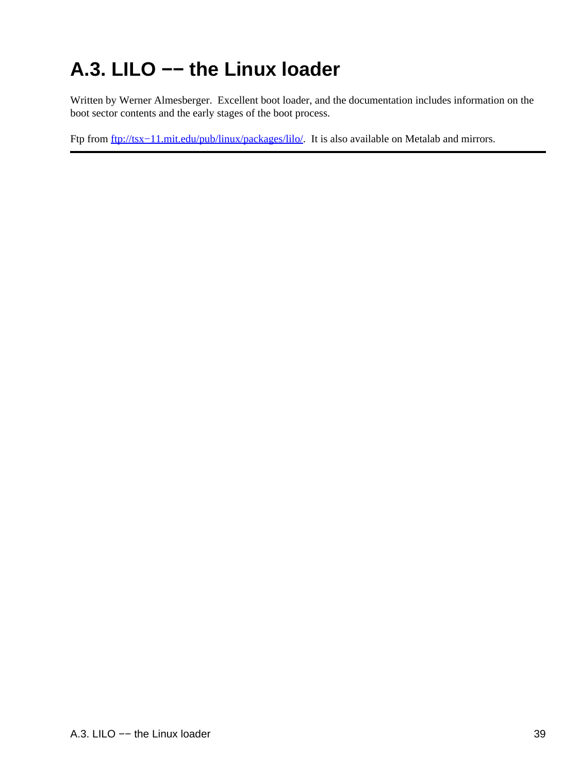# <span id="page-41-0"></span>**A.3. LILO −− the Linux loader**

Written by Werner Almesberger. Excellent boot loader, and the documentation includes information on the boot sector contents and the early stages of the boot process.

Ftp from [ftp://tsx−11.mit.edu/pub/linux/packages/lilo/](ftp://tsx-11.mit.edu/pub/linux/packages/lilo/). It is also available on Metalab and mirrors.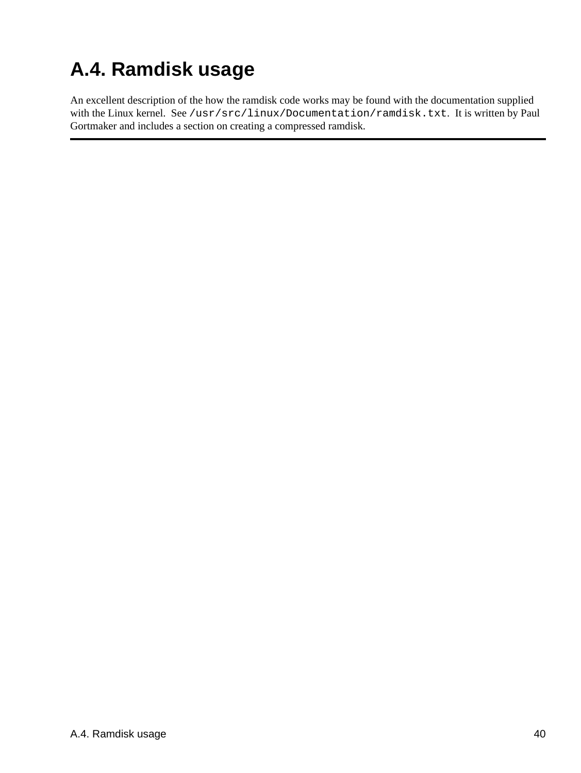# <span id="page-42-0"></span>**A.4. Ramdisk usage**

An excellent description of the how the ramdisk code works may be found with the documentation supplied with the Linux kernel. See /usr/src/linux/Documentation/ramdisk.txt. It is written by Paul Gortmaker and includes a section on creating a compressed ramdisk.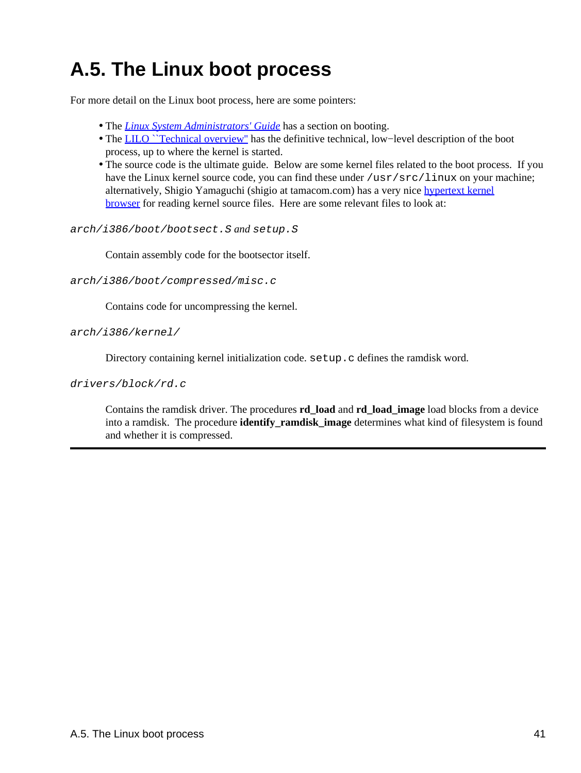# <span id="page-43-0"></span>**A.5. The Linux boot process**

For more detail on the Linux boot process, here are some pointers:

- The *[Linux System Administrators' Guide](http://linuxdoc.org/LDP/sag/index.html)* has a section on booting.
- The LILO ``Technical overview" has the definitive technical, low–level description of the boot process, up to where the kernel is started.
- The source code is the ultimate guide. Below are some kernel files related to the boot process. If you have the Linux kernel source code, you can find these under /usr/src/linux on your machine; alternatively, Shigio Yamaguchi (shigio at tamacom.com) has a very nice [hypertext kernel](http://www.tamacom.com/tour/linux/index.html) [browser](http://www.tamacom.com/tour/linux/index.html) for reading kernel source files. Here are some relevant files to look at:

arch/i386/boot/bootsect.S *and* setup.S

Contain assembly code for the bootsector itself.

arch/i386/boot/compressed/misc.c

Contains code for uncompressing the kernel.

arch/i386/kernel/

Directory containing kernel initialization code. setup.c defines the ramdisk word.

drivers/block/rd.c

Contains the ramdisk driver. The procedures **rd\_load** and **rd\_load\_image** load blocks from a device into a ramdisk. The procedure **identify\_ramdisk\_image** determines what kind of filesystem is found and whether it is compressed.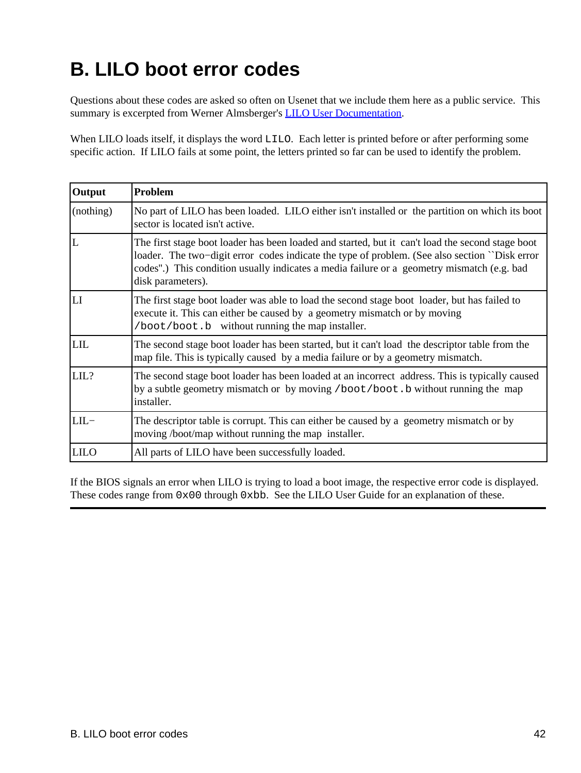## <span id="page-44-0"></span>**B. LILO boot error codes**

Questions about these codes are asked so often on Usenet that we include them here as a public service. This summary is excerpted from Werner Almsberger's **LILO User Documentation**.

When LILO loads itself, it displays the word LILO. Each letter is printed before or after performing some specific action. If LILO fails at some point, the letters printed so far can be used to identify the problem.

| Output      | Problem                                                                                                                                                                                                                                                                                                              |
|-------------|----------------------------------------------------------------------------------------------------------------------------------------------------------------------------------------------------------------------------------------------------------------------------------------------------------------------|
| (nothing)   | No part of LILO has been loaded. LILO either isn't installed or the partition on which its boot<br>sector is located isn't active.                                                                                                                                                                                   |
|             | The first stage boot loader has been loaded and started, but it can't load the second stage boot<br>loader. The two-digit error codes indicate the type of problem. (See also section "Disk error<br>codes".) This condition usually indicates a media failure or a geometry mismatch (e.g. bad<br>disk parameters). |
| LI          | The first stage boot loader was able to load the second stage boot loader, but has failed to<br>execute it. This can either be caused by a geometry mismatch or by moving<br>/boot/boot.b without running the map installer.                                                                                         |
| <b>LIL</b>  | The second stage boot loader has been started, but it can't load the descriptor table from the<br>map file. This is typically caused by a media failure or by a geometry mismatch.                                                                                                                                   |
| LIL?        | The second stage boot loader has been loaded at an incorrect address. This is typically caused<br>by a subtle geometry mismatch or by moving /boot/boot. b without running the map<br>installer.                                                                                                                     |
| $LIL-$      | The descriptor table is corrupt. This can either be caused by a geometry mismatch or by<br>moving /boot/map without running the map installer.                                                                                                                                                                       |
| <b>LILO</b> | All parts of LILO have been successfully loaded.                                                                                                                                                                                                                                                                     |

If the BIOS signals an error when LILO is trying to load a boot image, the respective error code is displayed. These codes range from  $0 \times 00$  through 0xbb. See the LILO User Guide for an explanation of these.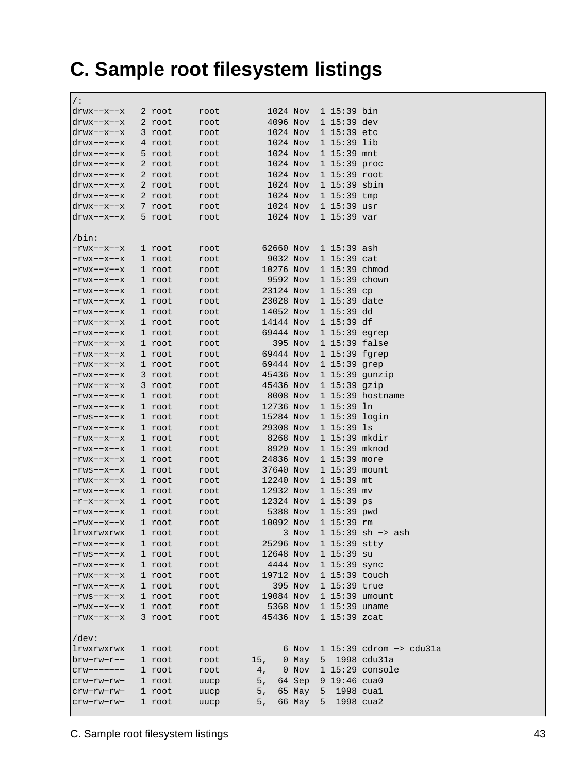## <span id="page-45-0"></span>**C. Sample root filesystem listings**

| $\mathcal{C}$ :                |        |      |                         |         |                       |                                              |
|--------------------------------|--------|------|-------------------------|---------|-----------------------|----------------------------------------------|
| drwx--x--x                     | 2 root | root | 1024 Nov                |         | 1 15:39 bin           |                                              |
| drwx--x--x                     | 2 root | root | 4096 Nov                |         | 1 15:39 dev           |                                              |
| drwx--x--x                     | 3 root | root | 1024 Nov                |         | 1 15:39 etc           |                                              |
| drwx--x--x                     | 4 root | root | 1024 Nov                |         | 1 15:39 lib           |                                              |
| drwx--x--x                     | 5 root | root | 1024 Nov                |         | 1 15:39 mnt           |                                              |
| drwx--x--x                     | 2 root | root | 1024 Nov                |         | $1\;15:39\;proc$      |                                              |
| drwx--x--x                     | 2 root | root | 1024 Nov                |         | $1$ 15:39 root        |                                              |
| drwx--x--x                     | 2 root | root | 1024 Nov                |         | $1\;15:39\;$ sbin     |                                              |
| drwx--x--x                     | 2 root | root | 1024 Nov                |         | 1 15:39 tmp           |                                              |
| drwx--x--x                     | 7 root | root | 1024 Nov                |         | $1 \t15:39$ usr       |                                              |
| drwx--x--x                     | 5 root | root | 1024 Nov                |         | $1\;15:39\;var$       |                                              |
|                                |        |      |                         |         |                       |                                              |
| $/bin$ :                       |        |      |                         |         |                       |                                              |
| $-{\rm rwx}-{\rm rx}-{\rm rx}$ | 1 root | root | 62660 Nov               |         | $1\;15:39$ ash        |                                              |
| $-r$ wx--x--x                  | 1 root | root | 9032 Nov                |         | $1\;15:39$ cat        |                                              |
| $-{\rm rwx}-{\rm rx}-{\rm rx}$ | 1 root | root | 10276 Nov               |         | $1\;15:39\;chmod$     |                                              |
| $-rwx--x--x$                   | 1 root | root | 9592 Nov                |         | $1\;15:39$ chown      |                                              |
| $-{\rm TWX}$ --X--X            | 1 root | root | 23124 Nov               |         | $1\;15:39$ cp         |                                              |
| $-r$ wx--x--x                  | 1 root | root | 23028 Nov               |         | 1 15:39 date          |                                              |
| -rwx--x--x                     | 1 root | root | 14052 Nov               |         | $1\;15:39\;dd$        |                                              |
| $-{\rm rwx}-{\rm rx}-{\rm rx}$ | 1 root | root | 14144 Nov               |         | 1 15:39 df            |                                              |
| $-rwx--x--x$                   | 1 root | root | 69444 Nov               |         | 1 15:39 egrep         |                                              |
| $-rwx- -x- -x$                 | 1 root | root |                         | 395 Nov | $1$ 15:39 false       |                                              |
| $-r$ wx--x--x                  | 1 root | root | 69444 Nov               |         | 1 15:39 fgrep         |                                              |
| $-r$ wx--x--x                  | 1 root | root | 69444 Nov               |         | $1\;15:39$ grep       |                                              |
| $-{\rm rwx}-{\rm rx}-{\rm rx}$ | 3 root | root | 45436 Nov               |         |                       | $1 15:39$ gunzip                             |
| $-rwx- -x- -x$                 | 3 root | root | 45436 Nov               |         | $1\;15:39\;qzip$      |                                              |
| $-rwx--x--x$                   | 1 root | root | 8008 Nov                |         |                       | $1\;15:39$ hostname                          |
| -rwx--x--x                     | 1 root | root | 12736 Nov               |         | $1\;15:39\;1n$        |                                              |
| -rws--x--x                     | 1 root | root | 15284 Nov               |         | $1\;15:39\;$ login    |                                              |
| $-{\rm rwx}-{\rm rx}-{\rm rx}$ | 1 root | root | 29308 Nov               |         | $1\;15:39\;1s$        |                                              |
| $-rwx--\mathbf{x}-\mathbf{x}$  | 1 root | root | 8268 Nov                |         | 1 15:39 mkdir         |                                              |
| $-rwx--\mathbf{x}-\mathbf{x}$  | 1 root | root | 8920 Nov                |         | 1 15:39 mknod         |                                              |
| -rwx--x--x                     | 1 root | root | 24836 Nov               |         | 1 15:39 more          |                                              |
| -rws--x--x                     | 1 root | root | 37640 Nov               |         | $1\;15:39$ mount      |                                              |
| $-r$ wx--x--x                  | 1 root | root | 12240 Nov               |         | $1\;15:39$ mt         |                                              |
| $-rwx--\mathbf{x}-\mathbf{x}$  | 1 root | root | 12932 Nov               |         | $1 15:39$ mv          |                                              |
| $-r$ – $x$ –– $x$ –– $x$       | 1 root | root | 12324 Nov               |         | $1\;15:39\;ps$        |                                              |
| -rwx--x--x                     | 1 root | root | 5388 Nov                |         | 1 15:39 pwd           |                                              |
| -rwx--x--x                     | 1 root | root | 10092 Nov               |         | 1 15:39 rm            |                                              |
| Irwxrwxrwx                     | 1 root | root |                         | 3 Nov   |                       | $1 \; 15:39 \; sh \; -> ash$                 |
| $-rwx--x--x$                   | 1 root | root | 25296 Nov               |         | $1$ 15:39 stty        |                                              |
| $-rws--x--x$ 1 root            |        | root |                         |         | 12648 Nov 1 15:39 su  |                                              |
| $-rwx--x--x$                   | 1 root | root |                         |         | 4444 Nov 1 15:39 sync |                                              |
| $-r$ wx--x--x                  | 1 root | root |                         |         |                       | 19712 Nov 1 15:39 touch                      |
| $-rwx--x--x$                   | 1 root | root |                         | 395 Nov | 1 15:39 true          |                                              |
| $-rws - -x - x$                | 1 root | root | 19084 Nov               |         |                       | 1 15:39 umount                               |
| $-rwx--x--x$                   | 1 root | root | 5368 Nov                |         | $1\;15:39$ uname      |                                              |
| $-rwx--x--x$                   | 3 root | root | 45436 Nov               |         | $1\;15:39$ zcat       |                                              |
|                                |        |      |                         |         |                       |                                              |
| $/\text{dev}$ :                |        |      |                         |         |                       |                                              |
|                                |        |      |                         |         |                       | $6$ Nov $1$ 15:39 cdrom $\rightarrow$ cdu31a |
| lrwxrwxrwx                     | 1 root | root |                         |         |                       |                                              |
| brw-rw-r--                     | 1 root | root | 15, 0 May 5 1998 cdu31a |         |                       |                                              |
| $CrW$ ------                   | 1 root | root | 4,                      |         |                       | $0$ Nov $1$ 15:29 console                    |
| Crw-rw-rw-                     | 1 root | uucp | 5,                      |         | 64 Sep 9 19:46 cua0   |                                              |
| crw-rw-rw-                     | 1 root | uucp | 5 <sub>1</sub>          |         | 65 May 5 1998 cual    |                                              |
| Crw-rw-rw-                     | 1 root | uucp | 5 <sub>1</sub>          |         | 66 May 5 1998 cua2    |                                              |
|                                |        |      |                         |         |                       |                                              |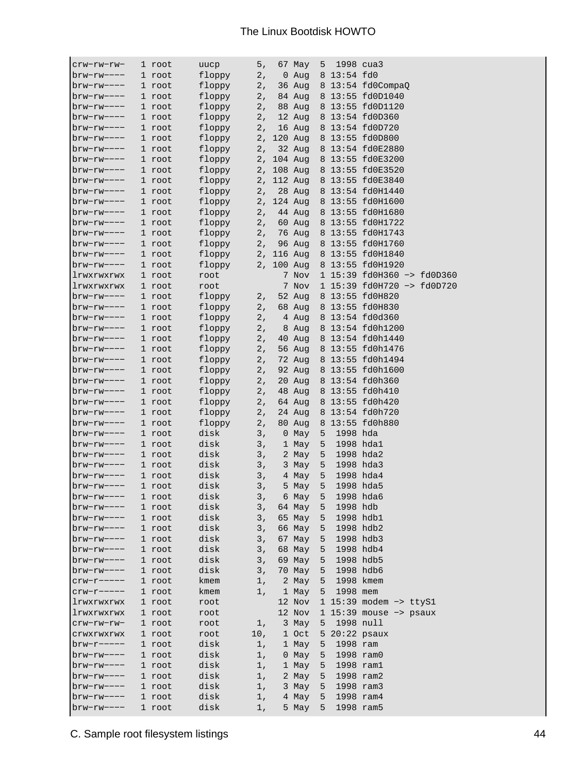| Crw-rw-rw-  | 1 root | uucp   | 5 <sub>1</sub> |            | 67 May      | 5 |                    | 1998 cua3                         |                            |
|-------------|--------|--------|----------------|------------|-------------|---|--------------------|-----------------------------------|----------------------------|
| brw-rw----  | 1 root | floppy | 2 <sub>r</sub> |            | 0 Aug       |   | 8 13:54 fd0        |                                   |                            |
| brw-rw----  | 1 root | floppy | 2,             |            | 36 Aug      |   |                    | 8 13:54 fd0CompaO                 |                            |
| brw-rw----  | 1 root | floppy |                |            |             |   |                    | 2, 84 Aug 8 13:55 fd0D1040        |                            |
| brw-rw----  | 1 root | floppy | 2,             |            | 88 Aug      |   |                    | 8 13:55 fd0D1120                  |                            |
|             |        |        |                |            |             |   |                    |                                   |                            |
| brw-rw----  | 1 root | floppy | 2,             |            | 12 Aug      | 8 |                    | 13:54 fd0D360                     |                            |
| brw-rw----  | 1 root | floppy | 2,             |            | 16 Aug      |   |                    | 8 13:54 fd0D720                   |                            |
| brw-rw----  | 1 root | floppy |                | 2, 120 Aug |             |   |                    | 8 13:55 fd0D800                   |                            |
| brw-rw----  | 1 root | floppy | 2,             |            |             |   |                    | 32 Aug 8 13:54 fd0E2880           |                            |
| brw-rw----  | 1 root | floppy |                | 2, 104 Aug |             |   |                    | 8 13:55 fd0E3200                  |                            |
|             |        |        |                |            |             |   |                    |                                   |                            |
| brw-rw----  | 1 root | floppy |                | 2, 108 Aug |             |   |                    | 8 13:55 fd0E3520                  |                            |
| brw-rw----  | 1 root | floppy |                | 2, 112 Aug |             |   |                    | 8 13:55 fd0E3840                  |                            |
| brw-rw----  | 1 root | floppy | 2,             |            | $28$ Aug    |   |                    | 8 13:54 fd0H1440                  |                            |
| $brw-rw---$ | 1 root | floppy |                |            |             |   |                    | 2, 124 Aug 8 13:55 fd0H1600       |                            |
| brw-rw----  | 1 root | floppy | 2,             |            | 44 Aug      |   |                    | 8 13:55 fd0H1680                  |                            |
|             |        |        |                |            |             |   |                    |                                   |                            |
| brw-rw----  | 1 root | floppy | 2,             |            | $60$ Aug    |   |                    | 8 13:55 fd0H1722                  |                            |
| brw-rw----  | 1 root | floppy |                | 2, 76 Aug  |             |   |                    | 8 13:55 fd0H1743                  |                            |
| brw-rw----  | 1 root | floppy | 2,             |            | 96 Aug      |   |                    | 8 13:55 fd0H1760                  |                            |
| brw-rw----  | 1 root | floppy |                | 2, 116 Aug |             |   |                    | 8 13:55 fd0H1840                  |                            |
| brw-rw----  | 1 root | floppy |                | 2, 100 Aug |             |   |                    | 8 13:55 fd0H1920                  |                            |
|             |        |        |                |            |             |   |                    |                                   |                            |
| lrwxrwxrwx  | 1 root | root   |                |            | 7 Nov       |   |                    |                                   | 1 15:39 fd0H360 -> fd0D360 |
| lrwxrwxrwx  | 1 root | root   |                |            | 7 Nov       |   |                    |                                   | 1 15:39 fd0H720 -> fd0D720 |
| brw-rw----  | 1 root | floppy | 2,             |            | 52 Aug      |   |                    | 8 13:55 fd0H820                   |                            |
| $brw-rw---$ | 1 root | floppy | 2,             |            | 68 Aug      |   |                    | 8 13:55 fd0H830                   |                            |
| brw-rw----  | 1 root | floppy |                | 2, 4 Aug   |             |   |                    | 8 13:54 fd0d360                   |                            |
|             |        |        |                |            |             |   |                    |                                   |                            |
| brw-rw----  | 1 root | floppy | 2,             |            | 8 Aug       |   |                    | 8 13:54 fd0h1200                  |                            |
| brw-rw----  | 1 root | floppy |                | 2, 40 Aug  |             |   |                    | 8 13:54 fd0h1440                  |                            |
| brw-rw----  | 1 root | floppy | 2,             |            | 56 Aug      |   |                    | 8 13:55 fd0h1476                  |                            |
| brw-rw----  | 1 root | floppy | 2,             |            | 72 Aug      |   |                    | 8 13:55 fd0h1494                  |                            |
| brw-rw----  | 1 root | floppy | 2,             |            | 92 Aug      |   |                    | 8 13:55 fd0h1600                  |                            |
|             |        |        |                |            |             |   |                    |                                   |                            |
| brw-rw----  | 1 root | floppy | 2,             |            | 20 Aug      | 8 |                    | 13:54 fd0h360                     |                            |
| brw-rw----  | 1 root | floppy | 2,             |            | 48 Aug      |   |                    | 8 13:55 fd0h410                   |                            |
| brw-rw----  | 1 root | floppy | 2,             |            | 64 Aug      | 8 |                    | 13:55 fd0h420                     |                            |
| $brw-rw---$ | 1 root | floppy | 2,             |            | 24 Aug      | 8 |                    | 13:54 fd0h720                     |                            |
| $brw-rw---$ | 1 root | floppy | 2,             |            | 80 Aug      | 8 |                    | 13:55 fd0h880                     |                            |
|             |        |        |                |            |             |   |                    |                                   |                            |
| brw-rw----  | 1 root | disk   | 3,             |            | 0 May       | 5 | 1998 hda           |                                   |                            |
| $brw-rw---$ | 1 root | disk   | 3 <sub>1</sub> |            | 1 May       | 5 |                    | 1998 hda1                         |                            |
| brw-rw----  | 1 root | disk   | 3 <sub>1</sub> |            | 2 May       | 5 |                    | 1998 hda2                         |                            |
| brw-rw----  | 1 root | disk   | 3,             |            | 3 May       | 5 |                    | 1998 hda3                         |                            |
| brw-rw----  | 1 root | disk   | 3,             |            | 4 May       | 5 |                    | 1998 hda4                         |                            |
|             |        | disk   |                |            |             | 5 |                    | 1998 hda5                         |                            |
| brw-rw----  | 1 root |        | 3,             |            | 5 May       |   |                    |                                   |                            |
| brw-rw----  | 1 root | disk   | 3,             |            | $6$ May $5$ |   | 1998 hda6          |                                   |                            |
| brw-rw----  | 1 root | disk   | 3,             |            | 64 May      | 5 | 1998 hdb           |                                   |                            |
| brw-rw----  | 1 root | disk   | 3 <sub>1</sub> |            | 65 May      | 5 |                    | 1998 hdb1                         |                            |
| brw-rw----  | 1 root | disk   | 3,             |            | 66 May 5    |   |                    | 1998 hdb2                         |                            |
| brw-rw----  | 1 root | disk   | 3,             |            | 67 May      | 5 |                    | 1998 hdb3                         |                            |
|             |        |        |                |            |             |   |                    |                                   |                            |
| $brw-rw---$ | 1 root | disk   | 3 <sub>1</sub> |            | 68 May      | 5 |                    | 1998 hdb4                         |                            |
| brw-rw----  | 1 root | disk   | 3 <sub>1</sub> |            | 69 May      | 5 |                    | 1998 hdb5                         |                            |
| $brw-rw---$ | 1 root | disk   | 3,             |            | 70 May      | 5 |                    | 1998 hdb6                         |                            |
| $crw-r---$  | 1 root | kmem   | 1,             |            | 2 May       | 5 |                    | 1998 kmem                         |                            |
| $Crw-r---$  | 1 root | kmem   | 1,             |            | 1 May       | 5 | 1998 mem           |                                   |                            |
|             | 1 root |        |                |            |             |   |                    | 12 Nov 1 15:39 modem -> ttyS1     |                            |
| lrwxrwxrwx  |        | root   |                |            |             |   |                    |                                   |                            |
| lrwxrwxrwx  | 1 root | root   |                |            | 12 Nov      |   |                    | 1 15:39 mouse $\rightarrow$ psaux |                            |
| Crw-rw-rw-  | 1 root | root   | 1,             |            | 3 May       | 5 |                    | 1998 null                         |                            |
| CYWXYWXYWX  | 1 root | root   | 10,            |            | 1 Oct       |   | $5\,20:22\,$ psaux |                                   |                            |
| brw-r-----  | 1 root | disk   | 1,             |            | 1 May       | 5 | 1998 ram           |                                   |                            |
| $brw-rw---$ | 1 root | disk   | 1,             |            | 0 May       | 5 |                    | 1998 ram0                         |                            |
|             |        |        |                |            |             |   |                    |                                   |                            |
| $brw-rw---$ | 1 root | disk   | 1,             |            | 1 May       | 5 |                    | 1998 ram1                         |                            |
| $brw-rw---$ | 1 root | disk   | 1,             |            | 2 May       | 5 |                    | 1998 ram2                         |                            |
| $brw-rw---$ | 1 root | disk   | 1,             |            | 3 May       | 5 |                    | 1998 ram3                         |                            |
| $brw-rw---$ | 1 root | disk   | 1,             |            | 4 May       | 5 |                    | 1998 ram4                         |                            |
| brw-rw----  | 1 root | disk   | 1,             |            | 5 May       | 5 |                    | 1998 ram5                         |                            |
|             |        |        |                |            |             |   |                    |                                   |                            |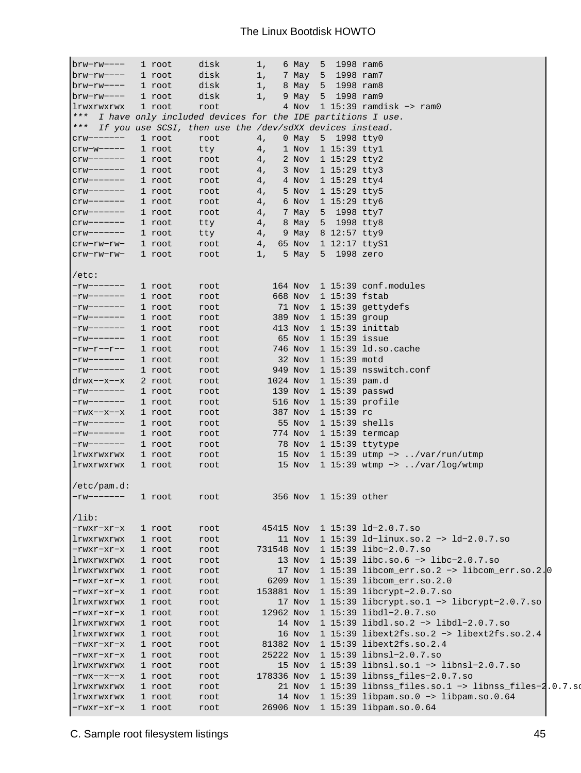| brw-rw----                                           | 1 root           | disk         | 1,                                                         | $6$ May $5$ | 1998 ram6             |                                                                               |
|------------------------------------------------------|------------------|--------------|------------------------------------------------------------|-------------|-----------------------|-------------------------------------------------------------------------------|
| brw-rw----                                           | 1 root           | disk         | 1 <sub>1</sub>                                             | 7 May 5     | 1998 ram7             |                                                                               |
| brw-rw----                                           | 1 root           | disk         | 1,                                                         | 8 May 5     | 1998 ram8             |                                                                               |
| brw-rw----                                           | 1 root           | disk         | 1,                                                         |             | 9 May 5 1998 ram9     |                                                                               |
| lrwxrwxrwx                                           | 1 root           | root         |                                                            | 4 Nov       |                       | $1\,15:39$ ramdisk $\rightarrow$ ram $0$                                      |
| $***$                                                |                  |              | I have only included devices for the IDE partitions I use. |             |                       |                                                                               |
| $***$                                                |                  |              | If you use SCSI, then use the /dev/sdXX devices instead.   |             |                       |                                                                               |
| $C\Gamma W------$                                    | 1 root           | root         | 4 <sub>1</sub>                                             |             | 0 May 5 1998 tty0     |                                                                               |
| $CrW-W---$                                           | 1 root           | tty          | 4,                                                         |             | 1 Nov 1 15:39 ttyl    |                                                                               |
| $CrW$ ------                                         | 1 root           | root         | 4,                                                         |             | 2 Nov 1 15:29 tty2    |                                                                               |
| $CrW$ ------                                         | 1 root           | root         | 4,                                                         | 3 Nov       | 1 15:29 tty3          |                                                                               |
| $CrW$ ------                                         | 1 root           | root         | 4,                                                         | 4 Nov       | 1 15:29 tty4          |                                                                               |
| $CrW$ ------                                         | 1 root           | root         | 4,                                                         |             | 5 Nov 1 15:29 tty5    |                                                                               |
| $CrW$ ------                                         | 1 root           | root         | 4,                                                         | 6 Nov       | 1 15:29 tty6          |                                                                               |
| $C\Gamma W------$                                    | 1 root           | root         | 4,                                                         |             | 7 May 5 1998 tty7     |                                                                               |
| $CrW$ ------                                         | 1 root           | tty          | 4,                                                         |             | 8 May 5 1998 tty8     |                                                                               |
| $CrW$ ------                                         | 1 root           | tty          | 4,                                                         |             | 9 May 8 12:57 tty9    |                                                                               |
| $Crw-rw-rw-$                                         | 1 root           | root         | 4, 65 Nov 1 12:17 ttyS1                                    |             |                       |                                                                               |
| $Crw-rw-rw-$                                         | 1 root           | root         | 1,                                                         |             | 5 May 5 1998 zero     |                                                                               |
|                                                      |                  |              |                                                            |             |                       |                                                                               |
| /etc:                                                |                  |              |                                                            |             |                       |                                                                               |
| $-{\rm rw}$ – – – – – – –                            | 1 root           | root         |                                                            | 164 Nov     |                       | 1 15:39 conf.modules                                                          |
| <b>-rw-------</b>                                    | 1 root           | root         |                                                            | 668 Nov     |                       | 1 15:39 fstab                                                                 |
| $-{\rm rw}\,$ ––––––                                 | 1 root           | root         |                                                            |             |                       | 71 Nov 1 15:39 gettydefs                                                      |
| $-\text{rw}$ ------                                  | 1 root           | root         |                                                            |             | 389 Nov 1 15:39 group |                                                                               |
| $-1$ W $      -$                                     | 1 root           | root         |                                                            | 413 Nov     |                       | 1 15:39 inittab                                                               |
| $-{\rm rw}$ – – – – – – –                            | 1 root           | root         |                                                            | 65 Nov      | 1 15:39 issue         |                                                                               |
| <b>-rw-r--r--</b>                                    | 1 root           | root         |                                                            | 746 Nov     |                       | 1 15:39 ld.so.cache                                                           |
| -rw-------                                           | 1 root           | root         |                                                            | 32 Nov      | 1 15:39 motd          |                                                                               |
| $-{\rm rw}$ – – – – – – –                            | 1 root           | root         |                                                            |             |                       | 949 Nov 1 15:39 nsswitch.conf                                                 |
| $\text{d} \text{r}$ wx--x--x                         | 2 root           | root         | 1024 Nov                                                   |             |                       | 1 15:39 pam.d                                                                 |
| $-{\rm rw}$ – – – – – – –                            | 1 root           | root         |                                                            | 139 Nov     |                       | 1 15:39 passwd                                                                |
| $-{\rm rw}\,{-}{-}{-}{-}{-}{-}{-}$                   | 1 root           | root         |                                                            | 516 Nov     |                       | 1 15:39 profile                                                               |
| $-rwx--x--x$                                         | 1 root           | root         |                                                            | 387 Nov     | 1 15:39 rc            |                                                                               |
|                                                      | 1 root           | root         |                                                            | 55 Nov      |                       | 1 15:39 shells                                                                |
| $-{\rm rw}\,{-}{-}{-}{-}{-}{-}{-}$                   | 1 root           | root         |                                                            |             |                       | 774 Nov 1 15:39 termcap                                                       |
| $-1$ W $      -$                                     | 1 root           | root         |                                                            |             |                       | 78 Nov 1 15:39 ttytype                                                        |
| <i>lrwxrwxrwx</i>                                    | 1 root           | root         |                                                            | 15 Nov      |                       | 1 15:39 utmp $\rightarrow$ /var/run/utmp                                      |
| lrwxrwxrwx                                           | 1 root           | root         |                                                            | 15 Nov      |                       | $1\;15:39$ wtmp $\rightarrow$ /var/log/wtmp                                   |
|                                                      |                  |              |                                                            |             |                       |                                                                               |
| $/etc/$ pam.d:                                       |                  |              |                                                            |             |                       |                                                                               |
| $-\text{rw}\text{-}\text{-}\text{-}\text{-}\text{-}$ | 1 root           | root         |                                                            |             | 356 Nov 1 15:39 other |                                                                               |
|                                                      |                  |              |                                                            |             |                       |                                                                               |
| /lib:                                                |                  |              |                                                            |             |                       |                                                                               |
| $-rwxr-xr-x$                                         | 1 root<br>1 root | root         |                                                            | 11 Nov      |                       | 45415 Nov 1 15:39 ld-2.0.7.so<br>$1 15:39$ $1d-1$ inux.so.2 -> $1d-2.0.7$ .so |
| lrwxrwxrwx                                           | 1 root           | root<br>root |                                                            |             |                       | 731548 Nov 1 15:39 libc-2.0.7.so                                              |
| -rwxr-xr-x                                           | 1 root           |              |                                                            |             |                       | 13 Nov 1 15:39 libc.so.6 -> libc-2.0.7.so                                     |
| lrwxrwxrwx<br>lrwxrwxrwx                             | 1 root           | root<br>root |                                                            |             |                       | 17 Nov 1 15:39 libcom err.so.2 -> libcom err.so.2.0                           |
| $-rwxr-xr-x$                                         | 1 root           | root         |                                                            |             |                       | 6209 Nov 1 15:39 libcom_err.so.2.0                                            |
| $-rwxr-xr-x$                                         | 1 root           | root         |                                                            |             |                       | 153881 Nov 1 15:39 libcrypt-2.0.7.so                                          |
| lrwxrwxrwx                                           | 1 root           | root         |                                                            |             |                       | 17 Nov 1 15:39 libcrypt.so.1 -> libcrypt-2.0.7.so                             |
| -rwxr-xr-x                                           | 1 root           | root         |                                                            |             |                       | 12962 Nov 1 15:39 libdl-2.0.7.so                                              |
| lrwxrwxrwx                                           | 1 root           | root         |                                                            |             |                       | 14 Nov $1 \ 15:39 \ 1ibdl.so.2 \rightarrow libdl-2.0.7.so$                    |
| lrwxrwxrwx                                           | 1 root           | root         |                                                            |             |                       | 16 Nov $1$ 15:39 libext2fs.so.2 -> libext2fs.so.2.4                           |
| -rwxr-xr-x                                           | 1 root           | root         |                                                            |             |                       | 81382 Nov 1 15:39 libext2fs.so.2.4                                            |
| -rwxr-xr-x                                           | 1 root           | root         | 25222 Nov                                                  |             |                       | 1 15:39 libnsl-2.0.7.so                                                       |
| lrwxrwxrwx                                           | 1 root           | root         |                                                            |             |                       | 15 Nov 1 15:39 libnsl.so.1 -> libnsl-2.0.7.so                                 |
| -rwx--x--x                                           | 1 root           | root         |                                                            |             |                       | 178336 Nov 1 15:39 libnss files-2.0.7.so                                      |
| lrwxrwxrwx                                           | 1 root           | root         |                                                            |             |                       | 21 Nov $1$ 15:39 libnss_files.so.1 -> libnss_files-2.0.7.so                   |
| <i>lrwxrwxrwx</i>                                    | 1 root           | root         |                                                            |             |                       | 14 Nov 1 15:39 libpam.so.0 -> libpam.so.0.64                                  |
| -rwxr-xr-x                                           | 1 root           | root         | 26906 Nov                                                  |             |                       | 1 15:39 libpam.so.0.64                                                        |
|                                                      |                  |              |                                                            |             |                       |                                                                               |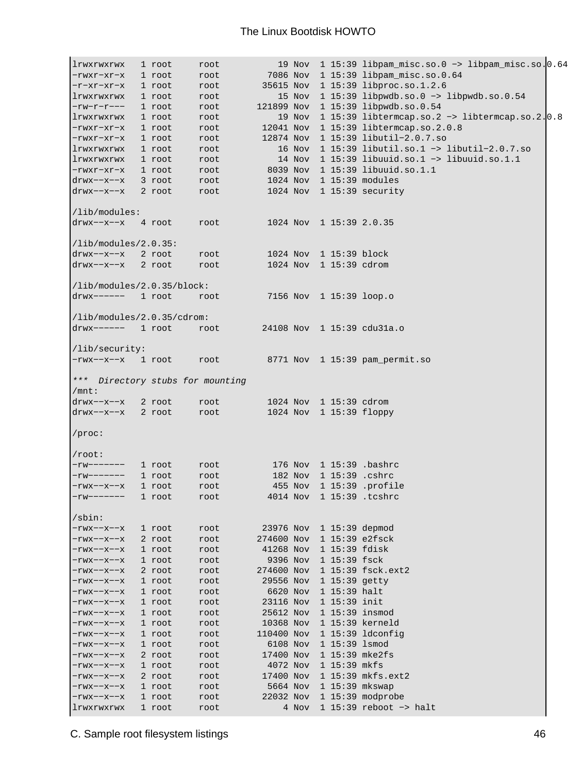```
l9 Nov 1 15:39 libpam_misc.so.0 −> libpam_misc.so.0.64
−rwxr−xr−x 1 root root 7086 Nov 1 15:39 libpam_misc.so.0.64
−r−xr−xr−x 1 root root 35615 Nov 1 15:39 libproc.so.1.2.6
                             l5 Nov 1 15:39 libpwdb.so.0 −> libpwdb.so.0.54
                           121899 Nov 1 15:39 libpwdb.so.0.54
                             l9 Nov 1 15:39 libtermcap.so.2 −> libtermcap.so.2.0.8
                           19 NOV 1 15:39 libtermcap.so.2.0.8<br>12041 Nov 1 15:39 libtermcap.so.2.0.8
                            12874 Nov 1 15:39 libutil−2.0.7.so
lrwxrwxrwx 1 root root 16 Nov 1 15:39 libutil.so.1 −> libutil−2.0.7.so
lrwxrwxrwx 1 root root 14 Nov 1 15:39 libuuid.so.1 −> libuuid.so.1.1
−rwxr−xr−x 1 root root 8039 Nov 1 15:39 libuuid.so.1.1
drwx−−x−−x 3 root root 1024 Nov 1 15:39 modules
drwx−−x−−x 2 root root 1024 Nov 1 15:39 security
/lib/modules:
drwx−−x−−x 4 root root 1024 Nov 1 15:39 2.0.35
/lib/modules/2.0.35:
drwx−−x−−x 2 root root 1024 Nov 1 15:39 block
drwx−−x−−x 2 root root 1024 Nov 1 15:39 cdrom
/lib/modules/2.0.35/block:
drwx−−−−−− 1 root root 7156 Nov 1 15:39 loop.o
/lib/modules/2.0.35/cdrom:
drwx−−−−−− 1 root root 24108 Nov 1 15:39 cdu31a.o
/lib/security:
−rwx−−x−−x 1 root root 8771 Nov 1 15:39 pam_permit.so
*** Directory stubs for mounting
/mnt:
drwx−−x−−x 2 root root 1024 Nov 1 15:39 cdrom
drwx−−x−−x 2 root root 1024 Nov 1 15:39 floppy
/proc:
/root:
−rw−−−−−−− 1 root root 176 Nov 1 15:39 .bashrc
−rw−−−−−−− 1 root root 182 Nov 1 15:39 .cshrc
−rwx−−x−−x 1 root root 455 Nov 1 15:39 .profile
−rw−−−−−−− 1 root root 4014 Nov 1 15:39 .tcshrc
/sbin:
−rwx−−x−−x 1 root root 23976 Nov 1 15:39 depmod
−rwx−−x−−x 2 root root 274600 Nov 1 15:39 e2fsck
−rwx−−x−−x 1 root root 41268 Nov 1 15:39 fdisk
−rwx−−x−−x 1 root root 9396 Nov 1 15:39 fsck
−rwx−−x−−x 2 root root 274600 Nov 1 15:39 fsck.ext2
−rwx−−x−−x 1 root root 29556 Nov 1 15:39 getty
−rwx−−x−−x 1 root root 6620 Nov 1 15:39 halt
−rwx−−x−−x 1 root root 23116 Nov 1 15:39 init
−rwx−−x−−x 1 root root 25612 Nov 1 15:39 insmod
−rwx−−x−−x 1 root root 10368 Nov 1 15:39 kerneld
−rwx−−x−−x 1 root root 110400 Nov 1 15:39 ldconfig
−rwx−−x−−x 1 root root 6108 Nov 1 15:39 lsmod
−rwx−−x−−x 2 root root 17400 Nov 1 15:39 mke2fs
−rwx−−x−−x 1 root root 4072 Nov 1 15:39 mkfs
−rwx−−x−−x 2 root root 17400 Nov 1 15:39 mkfs.ext2
−rwx−−x−−x 1 root root 5664 Nov 1 15:39 mkswap
−rwx−−x−−x 1 root root 22032 Nov 1 15:39 modprobe
                           lexample 1 15:39 modprobe<br>4 Nov 1 15:39 reboot −> halt
```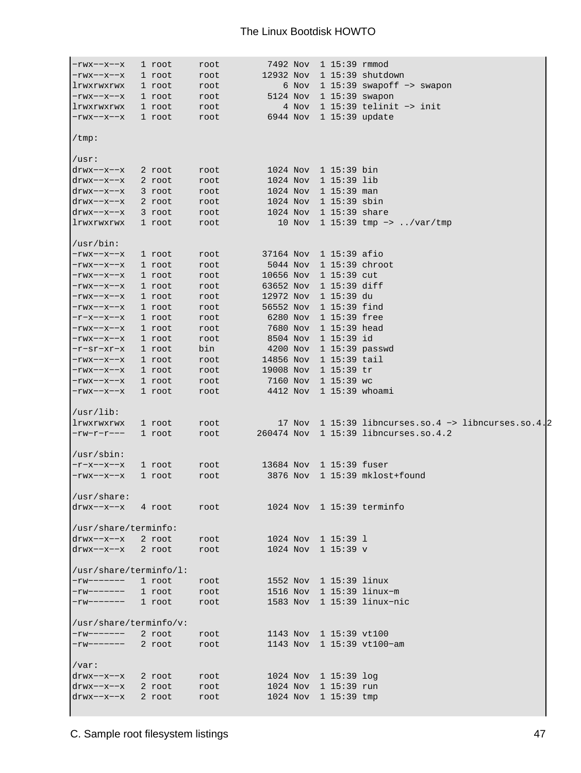| $-rwx--x--x$                           | 1 root               | root | 7492 Nov 1 15:39 rmmod     |  |                                                                |  |
|----------------------------------------|----------------------|------|----------------------------|--|----------------------------------------------------------------|--|
| $-rwx--x--x$                           | 1 root               | root | 12932 Nov 1 15:39 shutdown |  |                                                                |  |
| lrwxrwxrwx                             | 1 root               | root |                            |  | 6 Nov $1$ 15:39 swapoff $\rightarrow$ swapon                   |  |
| $-r$ wx--x--x                          | 1 root               | root | 5124 Nov 1 15:39 swapon    |  |                                                                |  |
| lrwxrwxrwx                             | 1 root               | root |                            |  | $4$ Nov $1$ 15:39 telinit $\rightarrow$ init                   |  |
| $-rwx--x--x$                           | 1 root               | root | 6944 Nov 1 15:39 update    |  |                                                                |  |
|                                        |                      |      |                            |  |                                                                |  |
| / $tmp:$                               |                      |      |                            |  |                                                                |  |
| /usr:                                  |                      |      |                            |  |                                                                |  |
| $drwx--x--x$ 2 root                    |                      | root | 1024 Nov 1 15:39 bin       |  |                                                                |  |
| $drwx--x--x$ 2 root                    |                      | root | 1024 Nov 1 15:39 lib       |  |                                                                |  |
| $drwx--x--x$ 3 root                    |                      | root | 1024 Nov 1 15:39 man       |  |                                                                |  |
| $\text{drwx--x--x}$ 2 root             |                      | root | 1024 Nov 1 15:39 sbin      |  |                                                                |  |
| $drwx--x--x$ 3 root                    |                      | root | 1024 Nov 1 15:39 share     |  |                                                                |  |
| lrwxrwxrwx                             | 1 root               | root |                            |  | 10 Nov 1 15:39 tmp -> /var/tmp                                 |  |
|                                        |                      |      |                            |  |                                                                |  |
| /usr/bin:                              |                      |      |                            |  |                                                                |  |
| $-rwx--x--x$                           | 1 root               | root | 37164 Nov 1 15:39 afio     |  |                                                                |  |
| $-rwx--x--x$                           | 1 root               | root | 5044 Nov 1 15:39 chroot    |  |                                                                |  |
| -rwx--x--x 1 root                      |                      | root | 10656 Nov 1 15:39 cut      |  |                                                                |  |
| -rwx--x--x 1 root                      |                      | root | 63652 Nov 1 15:39 diff     |  |                                                                |  |
| $-rwx--x--x$                           | 1 root               | root | 12972 Nov 1 15:39 du       |  |                                                                |  |
| $-rwx--x--x$                           | 1 root               | root | 56552 Nov 1 15:39 find     |  |                                                                |  |
| -r-x--x--x                             | 1 root               | root | 6280 Nov 1 15:39 free      |  |                                                                |  |
| -rwx--x--x 1 root                      |                      | root | 7680 Nov 1 15:39 head      |  |                                                                |  |
| -rwx--x--x 1 root                      |                      | root | 8504 Nov 1 15:39 id        |  |                                                                |  |
| -r-sr-xr-x                             | 1 root               | bin  | 4200 Nov 1 15:39 passwd    |  |                                                                |  |
| -rwx--x--x                             | 1 root               | root | 14856 Nov 1 15:39 tail     |  |                                                                |  |
| $-{\rm TWX}$ – $-{\rm X}$ – $-{\rm X}$ | 1 root               | root | 19008 Nov 1 15:39 tr       |  |                                                                |  |
| -rwx--x--x 1 root                      |                      | root | 7160 Nov 1 15:39 wc        |  |                                                                |  |
| $-r$ wx--x--x                          | 1 root               | root | 4412 Nov 1 15:39 whoami    |  |                                                                |  |
| $/usr/lib$ :                           |                      |      |                            |  |                                                                |  |
| lrwxrwxrwx                             | 1 root               | root |                            |  | 17 Nov 1 15:39 libncurses.so.4 $\rightarrow$ libncurses.so.4.2 |  |
| $-rw-r-r---$                           | 1 root               | root |                            |  | 260474 Nov 1 15:39 libncurses.so.4.2                           |  |
|                                        |                      |      |                            |  |                                                                |  |
| /usr/sbin:                             |                      |      |                            |  |                                                                |  |
| $-r$ -x--x--x                          | 1 root               | root | 13684 Nov 1 15:39 fuser    |  |                                                                |  |
| $-rwx--x--x$                           | 1 root               | root |                            |  | 3876 Nov 1 15:39 mklost+found                                  |  |
|                                        |                      |      |                            |  |                                                                |  |
| $/usr/share$ :                         |                      |      |                            |  |                                                                |  |
| $\text{drwx--x--x}$ 4 root             |                      | root |                            |  | $1024$ Nov $1$ 15:39 terminfo                                  |  |
|                                        |                      |      |                            |  |                                                                |  |
|                                        |                      |      |                            |  |                                                                |  |
|                                        | /usr/share/terminfo: |      |                            |  |                                                                |  |
| $\text{drwx--x--x}$ 2 root             |                      | root | 1024 Nov 1 15:39 1         |  |                                                                |  |
| $\text{drwx--x--x}$ 2 root             |                      | root | $1024$ Nov 1 15:39 v       |  |                                                                |  |
| $/usr/share/terminfo/l$ :              |                      |      |                            |  |                                                                |  |
| -rw------- 1 root                      |                      | root | 1552 Nov 1 15:39 linux     |  |                                                                |  |
| -rw-------  1 root                     |                      | root | 1516 Nov 1 15:39 linux-m   |  |                                                                |  |
| -rw------- 1 root                      |                      | root |                            |  | 1583 Nov 1 15:39 linux-nic                                     |  |
|                                        |                      |      |                            |  |                                                                |  |
| $/usr/share/terminfo/v$ :              |                      |      |                            |  |                                                                |  |
| $-rw-----2 root$                       |                      | root | 1143 Nov 1 15:39 vt100     |  |                                                                |  |
| -rw------- 2 root                      |                      | root |                            |  | 1143 Nov 1 15:39 vt100-am                                      |  |
|                                        |                      |      |                            |  |                                                                |  |
| /var:                                  |                      |      |                            |  |                                                                |  |
| $\frac{drwx - x - x}{2}$ 2 root        |                      | root | 1024 Nov 1 15:39 log       |  |                                                                |  |
| $\text{drwx--x--x}$ 2 root             |                      | root | 1024 Nov 1 15:39 run       |  |                                                                |  |
| drwx--x--x 2 root                      |                      | root | 1024 Nov 1 15:39 tmp       |  |                                                                |  |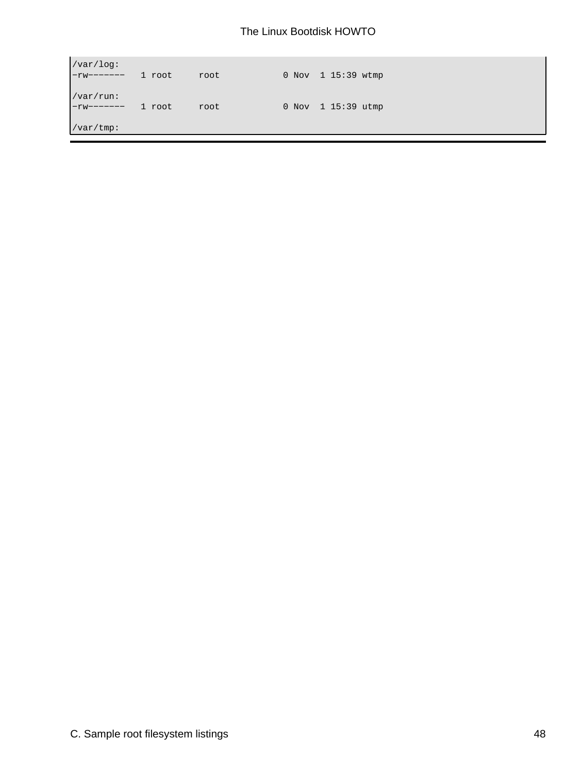/var/log: −rw−−−−−−− 1 root root 0 Nov 1 15:39 wtmp /var/run: −rw−−−−−−− 1 root root 0 Nov 1 15:39 utmp /var/tmp: